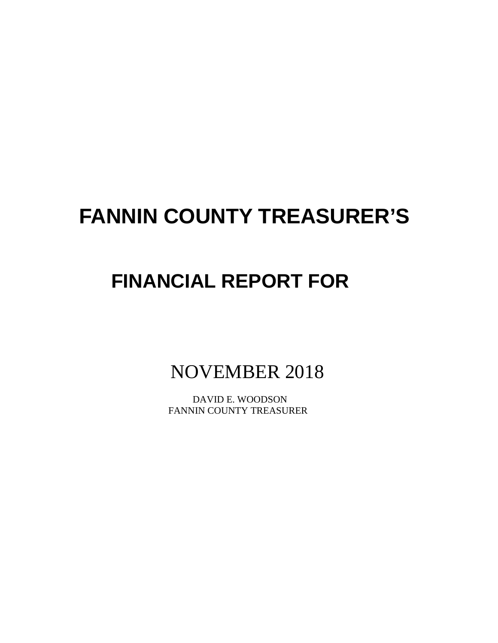# **FANNIN COUNTY TREASURER'S**

# **FINANCIAL REPORT FOR**

NOVEMBER 2018

 DAVID E. WOODSON FANNIN COUNTY TREASURER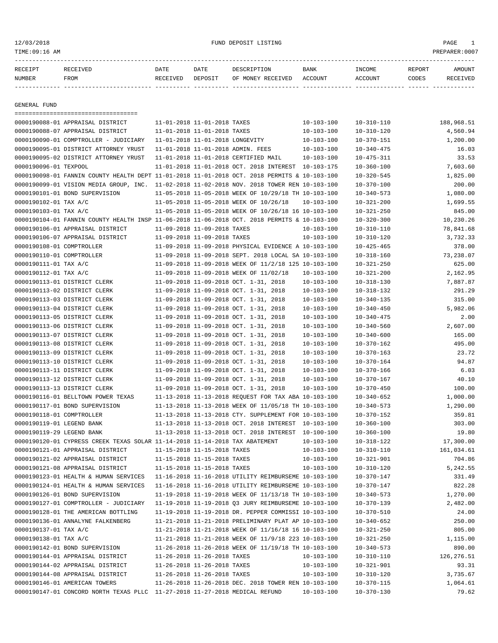# 12/03/2018 FUND DEPOSIT LISTING PAGE 1

| RECEIPT       | RECEIVED | DATE     | DATE    | DESCRIPTION               | <b>BANK</b> | INCOME  | REPORT | AMOUNT          |
|---------------|----------|----------|---------|---------------------------|-------------|---------|--------|-----------------|
| <b>NUMBER</b> | FROM     | RECEIVED | DEPOSIT | OF MONEY RECEIVED ACCOUNT |             | ACCOUNT | CODES  | <b>RECEIVED</b> |
|               |          |          |         |                           |             |         |        |                 |

GENERAL FUND

|                           | ======================================                                                       |                                 |                             |                                                      |                                      |                                      |             |
|---------------------------|----------------------------------------------------------------------------------------------|---------------------------------|-----------------------------|------------------------------------------------------|--------------------------------------|--------------------------------------|-------------|
|                           | 0000190088-01 APPRAISAL DISTRICT                                                             |                                 | 11-01-2018 11-01-2018 TAXES |                                                      | $10 - 103 - 100$                     | $10 - 310 - 110$                     | 188,968.51  |
|                           | 0000190088-07 APPRAISAL DISTRICT                                                             |                                 | 11-01-2018 11-01-2018 TAXES |                                                      | $10 - 103 - 100$                     | $10 - 310 - 120$                     | 4,560.94    |
|                           | 0000190090-01 COMPTROLLER - JUDICIARY                                                        | 11-01-2018 11-01-2018 LONGEVITY |                             |                                                      | $10 - 103 - 100$                     | $10 - 370 - 151$                     | 1,200.00    |
|                           | 0000190095-01 DISTRICT ATTORNEY YRUST                                                        |                                 |                             | 11-01-2018 11-01-2018 ADMIN. FEES                    | $10 - 103 - 100$                     | $10 - 340 - 475$                     | 16.03       |
|                           | 0000190095-02 DISTRICT ATTORNEY YRUST                                                        |                                 |                             | 11-01-2018 11-01-2018 CERTIFIED MAIL                 | $10 - 103 - 100$                     | $10 - 475 - 311$                     | 33.53       |
| 0000190096-01 TEXPOOL     |                                                                                              |                                 |                             | 11-01-2018 11-01-2018 OCT. 2018 INTEREST 10-103-175  |                                      | $10 - 360 - 100$                     | 7,603.60    |
|                           | 0000190098-01 FANNIN COUNTY HEALTH DEPT 11-01-2018 11-01-2018 OCT. 2018 PERMITS & 10-103-100 |                                 |                             |                                                      |                                      | $10 - 320 - 545$                     | 1,825.00    |
|                           | 0000190099-01 VISION MEDIA GROUP, INC. 11-02-2018 11-02-2018 NOV. 2018 TOWER REN 10-103-100  |                                 |                             |                                                      |                                      | $10 - 370 - 100$                     | 200.00      |
|                           | 0000190101-01 BOND SUPERVISION                                                               |                                 |                             | 11-05-2018 11-05-2018 WEEK OF 10/29/18 TH 10-103-100 |                                      | $10 - 340 - 573$                     | 1,080.00    |
| 0000190102-01 TAX A/C     |                                                                                              |                                 |                             | 11-05-2018 11-05-2018 WEEK OF 10/26/18               | $10 - 103 - 100$                     | $10 - 321 - 200$                     | 1,699.55    |
| 0000190103-01 TAX A/C     |                                                                                              |                                 |                             | 11-05-2018 11-05-2018 WEEK OF 10/26/18 16 10-103-100 |                                      | $10 - 321 - 250$                     | 845.00      |
|                           | 0000190104-01 FANNIN COUNTY HEALTH INSP 11-06-2018 11-06-2018 OCT. 2018 PERMITS & 10-103-100 |                                 |                             |                                                      |                                      | $10 - 320 - 300$                     | 10,230.26   |
|                           | 0000190106-01 APPRAISAL DISTRICT                                                             |                                 | 11-09-2018 11-09-2018 TAXES |                                                      | $10 - 103 - 100$                     | $10 - 310 - 110$                     | 78,841.68   |
|                           | 0000190106-07 APPRAISAL DISTRICT                                                             | 11-09-2018 11-09-2018 TAXES     |                             |                                                      | $10 - 103 - 100$                     | $10 - 310 - 120$                     | 3,732.33    |
| 0000190108-01 COMPTROLLER |                                                                                              |                                 |                             | 11-09-2018 11-09-2018 PHYSICAL EVIDENCE A 10-103-100 |                                      | $10 - 425 - 465$                     | 378.00      |
| 0000190110-01 COMPTROLLER |                                                                                              |                                 |                             | 11-09-2018 11-09-2018 SEPT. 2018 LOCAL SA 10-103-100 |                                      | $10 - 318 - 160$                     | 73,238.07   |
| 0000190111-01 TAX A/C     |                                                                                              |                                 |                             | 11-09-2018 11-09-2018 WEEK OF 11/2/18 125 10-103-100 |                                      | $10 - 321 - 250$                     | 625.00      |
| 0000190112-01 TAX A/C     |                                                                                              |                                 |                             | 11-09-2018 11-09-2018 WEEK OF 11/02/18               | $10 - 103 - 100$                     | $10 - 321 - 200$                     | 2,162.95    |
|                           | 0000190113-01 DISTRICT CLERK                                                                 |                                 |                             | 11-09-2018 11-09-2018 OCT. 1-31, 2018                | $10 - 103 - 100$                     | $10 - 318 - 130$                     | 7,887.87    |
|                           | 0000190113-02 DISTRICT CLERK                                                                 |                                 |                             | 11-09-2018 11-09-2018 OCT. 1-31, 2018                | $10 - 103 - 100$                     | $10 - 318 - 132$                     | 291.29      |
|                           | 0000190113-03 DISTRICT CLERK                                                                 |                                 |                             | 11-09-2018 11-09-2018 OCT. 1-31, 2018                | $10 - 103 - 100$                     | $10 - 340 - 135$                     | 315.00      |
|                           | 0000190113-04 DISTRICT CLERK                                                                 |                                 |                             | 11-09-2018 11-09-2018 OCT. 1-31, 2018                | $10 - 103 - 100$                     | $10 - 340 - 450$                     | 5,982.06    |
|                           | 0000190113-05 DISTRICT CLERK                                                                 |                                 |                             | 11-09-2018 11-09-2018 OCT. 1-31, 2018                | $10 - 103 - 100$                     | $10 - 340 - 475$                     | 2.00        |
|                           | 0000190113-06 DISTRICT CLERK                                                                 |                                 |                             | 11-09-2018 11-09-2018 OCT. 1-31, 2018                | $10 - 103 - 100$                     | $10 - 340 - 560$                     | 2,607.00    |
|                           | 0000190113-07 DISTRICT CLERK                                                                 |                                 |                             | 11-09-2018 11-09-2018 OCT. 1-31, 2018                | $10 - 103 - 100$                     | $10 - 340 - 600$                     | 165.00      |
|                           | 0000190113-08 DISTRICT CLERK                                                                 |                                 |                             | 11-09-2018 11-09-2018 OCT. 1-31, 2018                | $10 - 103 - 100$                     | $10 - 370 - 162$                     | 495.00      |
|                           | 0000190113-09 DISTRICT CLERK                                                                 |                                 |                             | 11-09-2018 11-09-2018 OCT. 1-31, 2018                | $10 - 103 - 100$                     | $10 - 370 - 163$                     | 23.72       |
|                           | 0000190113-10 DISTRICT CLERK                                                                 |                                 |                             | 11-09-2018 11-09-2018 OCT. 1-31, 2018                | $10 - 103 - 100$                     | $10 - 370 - 164$                     | 94.87       |
|                           | 0000190113-11 DISTRICT CLERK                                                                 |                                 |                             | 11-09-2018 11-09-2018 OCT. 1-31, 2018                | $10 - 103 - 100$                     | $10 - 370 - 166$                     | 6.03        |
|                           | 0000190113-12 DISTRICT CLERK                                                                 |                                 |                             | 11-09-2018 11-09-2018 OCT. 1-31, 2018                | $10 - 103 - 100$                     | $10 - 370 - 167$                     | 40.10       |
|                           | 0000190113-13 DISTRICT CLERK                                                                 |                                 |                             | 11-09-2018 11-09-2018 OCT. 1-31, 2018                | $10 - 103 - 100$                     | $10 - 370 - 450$                     | 100.00      |
|                           | 0000190116-01 BELLTOWN POWER TEXAS                                                           |                                 |                             | 11-13-2018 11-13-2018 REQUEST FOR TAX ABA 10-103-100 |                                      | $10 - 340 - 652$                     | 1,000.00    |
|                           | 0000190117-01 BOND SUPERVISION                                                               |                                 |                             | 11-13-2018 11-13-2018 WEEK OF 11/05/18 TH 10-103-100 |                                      | $10 - 340 - 573$                     | 1,290.00    |
| 0000190118-01 COMPTROLLER |                                                                                              |                                 |                             | 11-13-2018 11-13-2018 CTY. SUPPLEMENT FOR 10-103-100 |                                      | $10 - 370 - 152$                     | 359.81      |
| 0000190119-01 LEGEND BANK |                                                                                              |                                 |                             | 11-13-2018 11-13-2018 OCT. 2018 INTEREST 10-103-100  |                                      | $10 - 360 - 100$                     | 303.00      |
| 0000190119-29 LEGEND BANK |                                                                                              |                                 |                             | 11-13-2018 11-13-2018 OCT. 2018 INTEREST 10-100-100  |                                      | $10 - 360 - 100$                     | 19.80       |
|                           | 0000190120-01 CYPRESS CREEK TEXAS SOLAR 11-14-2018 11-14-2018 TAX ABATEMENT                  |                                 |                             |                                                      | $10 - 103 - 100$                     | $10 - 318 - 122$                     | 17,300.00   |
|                           | 0000190121-01 APPRAISAL DISTRICT                                                             |                                 | 11-15-2018 11-15-2018 TAXES |                                                      | $10 - 103 - 100$                     | $10 - 310 - 110$                     | 161,034.61  |
|                           | 0000190121-02 APPRAISAL DISTRICT                                                             |                                 | 11-15-2018 11-15-2018 TAXES |                                                      | $10 - 103 - 100$                     | $10 - 321 - 901$                     | 704.86      |
|                           | 0000190121-08 APPRAISAL DISTRICT                                                             |                                 | 11-15-2018 11-15-2018 TAXES |                                                      | $10 - 103 - 100$                     | $10 - 310 - 120$                     | 5,242.55    |
|                           | 0000190123-01 HEALTH & HUMAN SERVICES 11-16-2018 11-16-2018 UTILITY REIMBURSEME 10-103-100   |                                 |                             |                                                      |                                      | $10 - 370 - 147$                     | 331.49      |
|                           | 0000190124-01 HEALTH & HUMAN SERVICES                                                        |                                 |                             | 11-16-2018 11-16-2018 UTILITY REIMBURSEME 10-103-100 |                                      | $10 - 370 - 147$                     | 822.28      |
|                           | 0000190126-01 BOND SUPERVISION                                                               |                                 |                             | 11-19-2018 11-19-2018 WEEK OF 11/13/18 TH 10-103-100 |                                      | $10 - 340 - 573$                     | 1,270.00    |
|                           | 0000190127-01 COMPTROLLER - JUDICIARY                                                        |                                 |                             | 11-19-2018 11-19-2018 Q3 JURY REIMBURSEME 10-103-100 |                                      | $10 - 370 - 139$                     | 2,482.00    |
|                           | 0000190128-01 THE AMERICAN BOTTLING                                                          |                                 |                             | 11-19-2018 11-19-2018 DR. PEPPER COMMISSI 10-103-100 |                                      | $10 - 370 - 510$                     | 24.00       |
|                           | 0000190136-01 ANNALYNE FALKENBERG                                                            |                                 |                             | 11-21-2018 11-21-2018 PRELIMINARY PLAT AP 10-103-100 |                                      | $10 - 340 - 652$                     | 250.00      |
| 0000190137-01 TAX A/C     |                                                                                              |                                 |                             | 11-21-2018 11-21-2018 WEEK OF 11/16/18 16 10-103-100 |                                      | $10 - 321 - 250$                     | 805.00      |
| 0000190138-01 TAX A/C     |                                                                                              |                                 |                             | 11-21-2018 11-21-2018 WEEK OF 11/9/18 223 10-103-100 |                                      | $10 - 321 - 250$                     | 1,115.00    |
|                           |                                                                                              |                                 |                             | 11-26-2018 11-26-2018 WEEK OF 11/19/18 TH 10-103-100 |                                      |                                      | 890.00      |
|                           | 0000190142-01 BOND SUPERVISION<br>0000190144-01 APPRAISAL DISTRICT                           |                                 | 11-26-2018 11-26-2018 TAXES |                                                      | $10 - 103 - 100$                     | $10 - 340 - 573$                     | 126, 276.51 |
|                           | 0000190144-02 APPRAISAL DISTRICT                                                             |                                 | 11-26-2018 11-26-2018 TAXES |                                                      |                                      | $10 - 310 - 110$                     | 93.31       |
|                           | 0000190144-08 APPRAISAL DISTRICT                                                             |                                 | 11-26-2018 11-26-2018 TAXES |                                                      | $10 - 103 - 100$<br>$10 - 103 - 100$ | $10 - 321 - 901$<br>$10 - 310 - 120$ | 3,735.67    |
|                           | 0000190146-01 AMERICAN TOWERS                                                                |                                 |                             |                                                      |                                      |                                      |             |
|                           |                                                                                              |                                 |                             | 11-26-2018 11-26-2018 DEC. 2018 TOWER REN 10-103-100 |                                      | $10 - 370 - 115$                     | 1,064.61    |
|                           | 0000190147-01 CONCORD NORTH TEXAS PLLC 11-27-2018 11-27-2018 MEDICAL REFUND                  |                                 |                             |                                                      | $10 - 103 - 100$                     | $10 - 370 - 130$                     | 79.62       |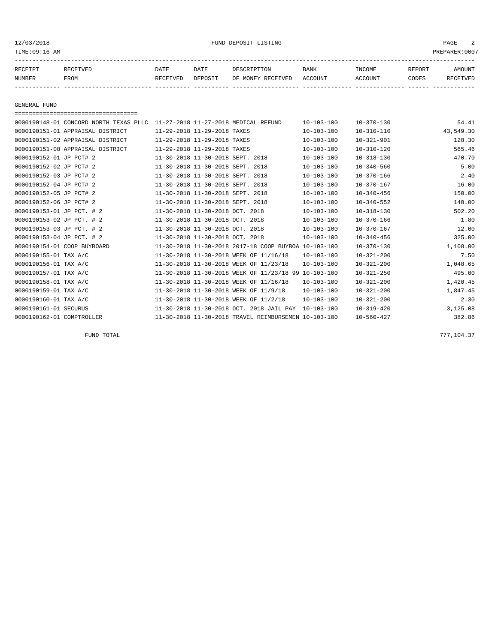#### 12/03/2018 FUND DEPOSIT LISTING PAGE 2

| RECEIPT | <b>RECEIVED</b> | DATE          | DATE    | DESCRIPTION                    | <b>BANK</b> | INCOME  | <b>REPORT</b> | AMOUNT |
|---------|-----------------|---------------|---------|--------------------------------|-------------|---------|---------------|--------|
| NUMBER  | FROM            | CEIVED<br>REC | DEPOSIT | RECEIVED<br><b>MONEY</b><br>OF | ACCOUNT     | ACCOUNT | CODES         | 'VED   |
|         |                 |               |         |                                |             |         |               |        |

GENERAL FUND

=================================== 0000190148-01 CONCORD NORTH TEXAS PLLC 11-27-2018 11-27-2018 MEDICAL REFUND 10-103-100 10-370-130 54.41 0000190151-01 APPRAISAL DISTRICT 11-29-2018 11-29-2018 TAXES 10-103-100 10-310-110 43,549.30 0000190151-02 APPRAISAL DISTRICT 11-29-2018 11-29-2018 TAXES 10-103-100 10-321-901 128.30 0000190151-08 APPRAISAL DISTRICT 11-29-2018 11-29-2018 TAXES 10-103-100 10-310-120 565.46 0000190152-01 JP PCT# 2 11-30-2018 11-30-2018 SEPT. 2018 10-103-100 10-318-130 470.70 0000190152-02 JP PCT# 2 11-30-2018 11-30-2018 SEPT. 2018 10-103-100 10-340-560 5.00 0000190152-03 JP PCT# 2 11-30-2018 11-30-2018 SEPT. 2018 10-103-100 10-370-166 2.40 0000190152-04 JP PCT# 2 11-30-2018 11-30-2018 SEPT. 2018 10-103-100 10-370-167 16.00 0000190152-05 JP PCT# 2 11-30-2018 11-30-2018 SEPT. 2018 10-103-100 10-340-456 150.00 0000190152-06 JP PCT# 2 11-30-2018 11-30-2018 SEPT. 2018 10-103-100 10-340-552 140.00 0000190153-01 JP PCT. # 2 11-30-2018 11-30-2018 OCT. 2018 10-103-100 10-318-130 502.20 0000190153-02 JP PCT. # 2 11-30-2018 11-30-2018 OCT. 2018 10-103-100 10-370-166 1.80 0000190153-03 JP PCT. # 2 11-30-2018 11-30-2018 OCT. 2018 10-103-100 10-370-167 12.00 0000190153-04 JP PCT. # 2 11-30-2018 11-30-2018 OCT. 2018 10-103-100 10-340-456 325.00 0000190154-01 COOP BUYBOARD 11-30-2018 11-30-2018 2017-18 COOP BUYBOA 10-103-100 10-370-130 1,108.00 0000190155-01 TAX A/C 11-30-2018 11-30-2018 WEEK OF 11/16/18 10-103-100 10-321-200 7.50 0000190156-01 TAX A/C 11-30-2018 11-30-2018 WEEK OF 11/23/18 10-103-100 10-321-200 1,048.65 0000190157-01 TAX A/C 11-30-2018 11-30-2018 WEEK OF 11/23/18 99 10-103-100 10-321-250 495.00 0000190158-01 TAX A/C 11-30-2018 11-30-2018 WEEK OF 11/16/18 10-103-100 10-321-200 1,420.45 0000190159-01 TAX A/C 11-30-2018 11-30-2018 WEEK OF 11/9/18 10-103-100 10-321-200 1,847.45 0000190160-01 TAX A/C 11-30-2018 11-30-2018 WEEK OF 11/2/18 10-103-100 10-321-200 2.30 0000190161-01 SECURUS 11-30-2018 11-30-2018 OCT. 2018 JAIL PAY 10-103-100 10-319-420 3,125.08 0000190162-01 COMPTROLLER 11-30-2018 11-30-2018 TRAVEL REIMBURSEMEN 10-103-100 10-560-427 382.86

FUND TOTAL 777,104.37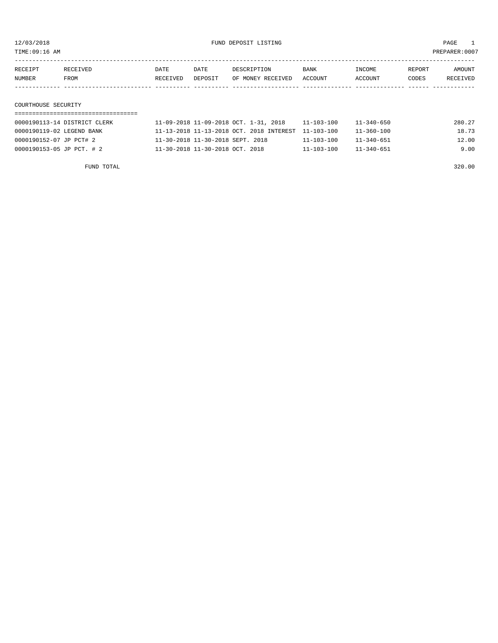TIME:09:16 AM PREPARER:0007

| RECEIPT | RECEIVED            | DATE     | DATE    | DESCRIPTION       | <b>BANK</b> | INCOME  | REPORT | AMOUNT   |  |
|---------|---------------------|----------|---------|-------------------|-------------|---------|--------|----------|--|
| NUMBER  | FROM                | RECEIVED | DEPOSIT | OF MONEY RECEIVED | ACCOUNT     | ACCOUNT | CODES  | RECEIVED |  |
|         |                     |          |         |                   |             |         |        |          |  |
|         |                     |          |         |                   |             |         |        |          |  |
|         | COURTHOUSE SECURITY |          |         |                   |             |         |        |          |  |

| 0000190113-14 DISTRICT CLERK | 11-09-2018 11-09-2018 OCT. 1-31, 2018               | $11 - 103 - 100$ | 11-340-650       | 280.27 |
|------------------------------|-----------------------------------------------------|------------------|------------------|--------|
| 0000190119-02 LEGEND BANK    | 11-13-2018 11-13-2018 OCT. 2018 INTEREST 11-103-100 |                  | 11-360-100       | 18.73  |
| 0000190152-07 JP PCT# 2      | 11-30-2018 11-30-2018 SEPT. 2018                    | 11-103-100       | $11 - 340 - 651$ | 12.00  |
| 0000190153-05 JP PCT. # 2    | 11-30-2018 11-30-2018 OCT. 2018                     | $11 - 103 - 100$ | $11 - 340 - 651$ | 9.00   |

FUND TOTAL 320.00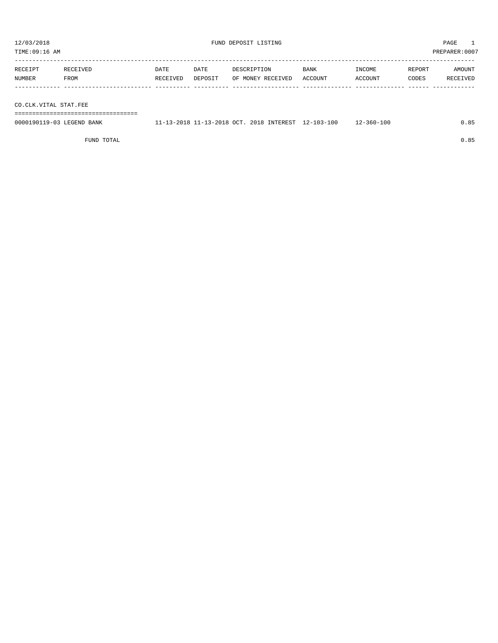PREPARER:0007

| 12/03/2018<br>TIME:09:16 AM |                  |                  |                 | FUND DEPOSIT LISTING             |                 |                   |                 | $\mathbf{1}$<br>PAGE<br>PREPARER:0007 |
|-----------------------------|------------------|------------------|-----------------|----------------------------------|-----------------|-------------------|-----------------|---------------------------------------|
| RECEIPT<br><b>NUMBER</b>    | RECEIVED<br>FROM | DATE<br>RECEIVED | DATE<br>DEPOSIT | DESCRIPTION<br>OF MONEY RECEIVED | BANK<br>ACCOUNT | INCOME<br>ACCOUNT | REPORT<br>CODES | AMOUNT<br>RECEIVED                    |
|                             |                  |                  |                 |                                  |                 |                   |                 |                                       |

CO.CLK.VITAL STAT.FEE

===================================

| 0000190119-03 LEGEND BANK | 11-13-2018 11-13-2018 OCT. 2018 INTEREST 12-103-100 |  | 12-360-100 | 0.85 |
|---------------------------|-----------------------------------------------------|--|------------|------|
|                           |                                                     |  |            |      |

FUND TOTAL 0.85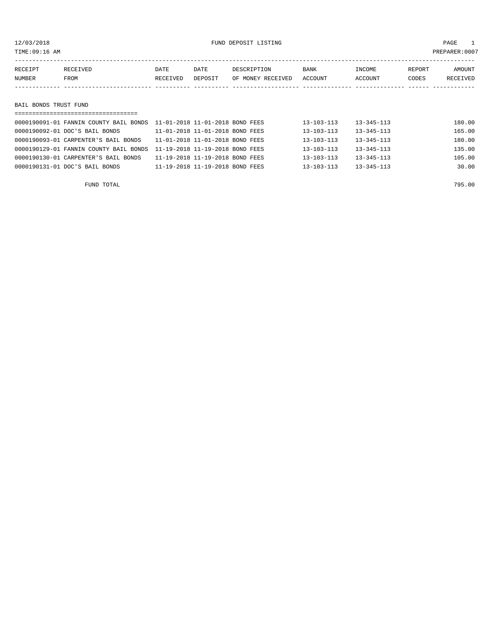12/03/2018 FUND DEPOSIT LISTING PAGE 1

| RECEIPT               | RECEIVED | DATE     | DATE    | DESCRIPTION       | <b>BANK</b> | INCOME  | REPORT | AMOUNT   |  |
|-----------------------|----------|----------|---------|-------------------|-------------|---------|--------|----------|--|
| NUMBER                | FROM     | RECEIVED | DEPOSIT | OF MONEY RECEIVED | ACCOUNT     | ACCOUNT | CODES  | RECEIVED |  |
|                       |          |          |         |                   |             |         |        |          |  |
|                       |          |          |         |                   |             |         |        |          |  |
| BAIL BONDS TRUST FUND |          |          |         |                   |             |         |        |          |  |
|                       |          |          |         |                   |             |         |        |          |  |

| 0000190092-01 DOC'S BAIL BONDS         | 11-01-2018 11-01-2018 BOND FEES | $13 - 103 - 113$ | $13 - 345 - 113$ | 165.00 |
|----------------------------------------|---------------------------------|------------------|------------------|--------|
| 0000190093-01 CARPENTER'S BAIL BONDS   | 11-01-2018 11-01-2018 BOND FEES | $13 - 103 - 113$ | $13 - 345 - 113$ | 180.00 |
| 0000190129-01 FANNIN COUNTY BAIL BONDS | 11-19-2018 11-19-2018 BOND FEES | $13 - 103 - 113$ | $13 - 345 - 113$ | 135.00 |
| 0000190130-01 CARPENTER'S BAIL BONDS   | 11-19-2018 11-19-2018 BOND FEES | $13 - 103 - 113$ | $13 - 345 - 113$ | 105.00 |
| 0000190131-01 DOC'S BAIL BONDS         | 11-19-2018 11-19-2018 BOND FEES | $13 - 103 - 113$ | $13 - 345 - 113$ | 30.00  |
|                                        |                                 |                  |                  |        |

FUND TOTAL 795.00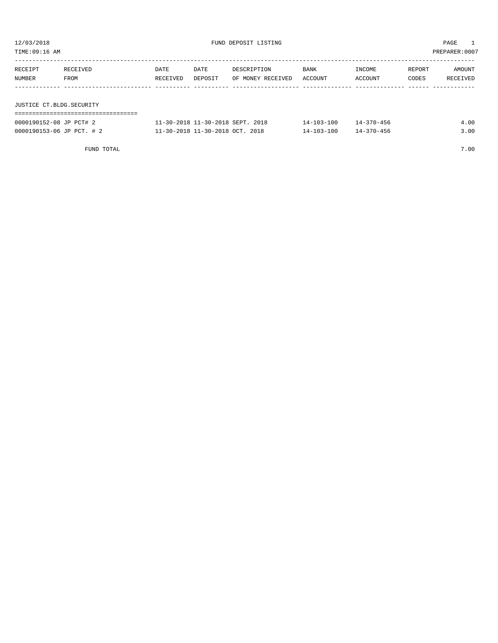| TIME:09:16 AM |                          |          |         |                   |         |         |        | PREPARER:0007 |  |
|---------------|--------------------------|----------|---------|-------------------|---------|---------|--------|---------------|--|
|               |                          |          |         |                   |         |         |        |               |  |
| RECEIPT       | RECEIVED                 | DATE     | DATE    | DESCRIPTION       | BANK    | INCOME  | REPORT | AMOUNT        |  |
| NUMBER        | FROM                     | RECEIVED | DEPOSIT | OF MONEY RECEIVED | ACCOUNT | ACCOUNT | CODES  | RECEIVED      |  |
|               |                          |          |         |                   |         |         |        |               |  |
|               |                          |          |         |                   |         |         |        |               |  |
|               | JUSTICE CT.BLDG.SECURITY |          |         |                   |         |         |        |               |  |
|               |                          |          |         |                   |         |         |        |               |  |

| 0000190152-08 JP PCT# 2   | 11-30-2018 11-30-2018 SEPT. 2018 | $14 - 103 - 100$ | 14-370-456       | 4.00 |
|---------------------------|----------------------------------|------------------|------------------|------|
| 0000190153-06 JP PCT. # 2 | 11-30-2018 11-30-2018 OCT. 2018  | 14-103-100       | $14 - 370 - 456$ |      |

FUND TOTAL 7.00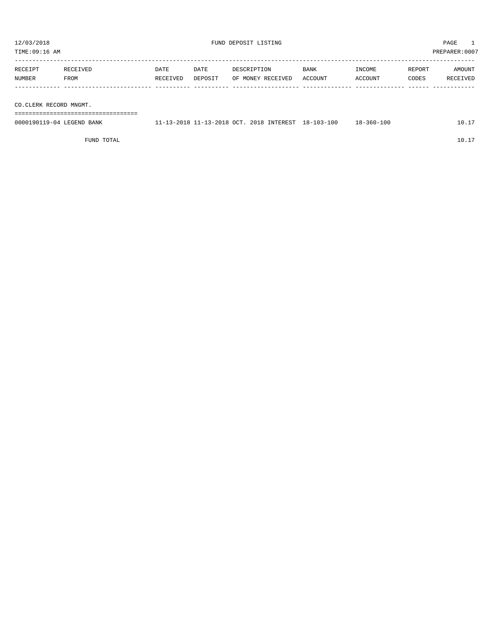| TIME:09:16 AM             |                  |                  |                 |                                          |                        |                   | PREPARER:0007   |                    |
|---------------------------|------------------|------------------|-----------------|------------------------------------------|------------------------|-------------------|-----------------|--------------------|
| RECEIPT<br>NUMBER         | RECEIVED<br>FROM | DATE<br>RECEIVED | DATE<br>DEPOSIT | DESCRIPTION<br>OF MONEY RECEIVED         | <b>BANK</b><br>ACCOUNT | INCOME<br>ACCOUNT | REPORT<br>CODES | AMOUNT<br>RECEIVED |
| CO.CLERK RECORD MNGMT.    |                  |                  |                 |                                          |                        |                   |                 |                    |
| 0000190119-04 LEGEND BANK |                  |                  |                 | 11-13-2018 11-13-2018 OCT. 2018 INTEREST | 18-103-100             | $18 - 360 - 100$  |                 | 10.17              |

FUND TOTAL  $10.17$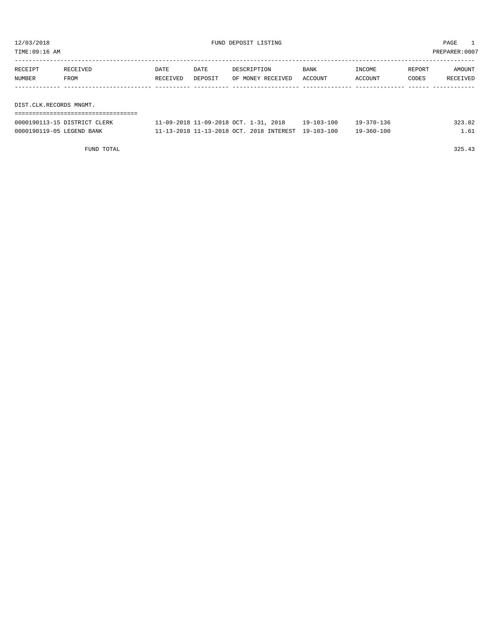| TIME:09:16 AM           |          |          |         |                   |             |         |        | PREPARER: 0007 |
|-------------------------|----------|----------|---------|-------------------|-------------|---------|--------|----------------|
|                         |          |          |         |                   |             |         |        |                |
| RECEIPT                 | RECEIVED | DATE     | DATE    | DESCRIPTION       | <b>BANK</b> | INCOME  | REPORT | AMOUNT         |
| NUMBER                  | FROM     | RECEIVED | DEPOSIT | OF MONEY RECEIVED | ACCOUNT     | ACCOUNT | CODES  | RECEIVED       |
|                         |          |          |         |                   |             |         |        |                |
|                         |          |          |         |                   |             |         |        |                |
| DIST.CLK.RECORDS MNGMT. |          |          |         |                   |             |         |        |                |
|                         |          |          |         |                   |             |         |        |                |

| 0000190113-15 DISTRICT CLERK | 11-09-2018 11-09-2018 OCT. 1-31, 2018               | $19 - 103 - 100$ | $19 - 370 - 136$ | 323.82 |
|------------------------------|-----------------------------------------------------|------------------|------------------|--------|
| 0000190119-05 LEGEND BANK    | 11-13-2018 11-13-2018 OCT. 2018 INTEREST 19-103-100 |                  | $19 - 360 - 100$ |        |

FUND TOTAL 325.43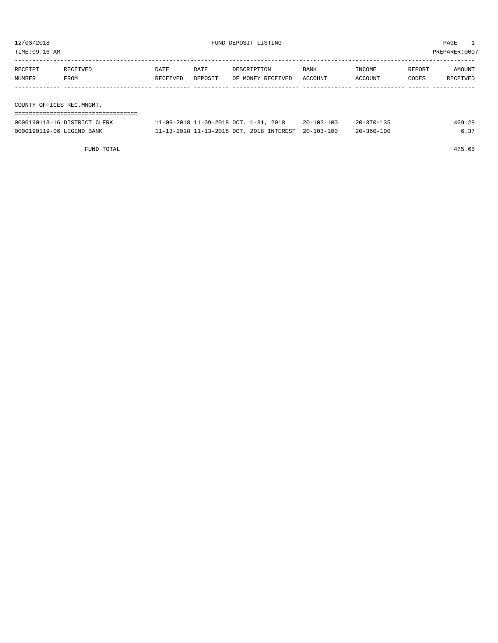| TIME:09:16 AM             |                              |          |         |                                       |                  |                  |        | PREPARER:0007 |
|---------------------------|------------------------------|----------|---------|---------------------------------------|------------------|------------------|--------|---------------|
|                           |                              |          |         |                                       |                  |                  |        |               |
| RECEIPT                   | RECEIVED                     | DATE     | DATE    | DESCRIPTION                           | BANK             | INCOME           | REPORT | AMOUNT        |
| NUMBER                    | FROM                         | RECEIVED | DEPOSIT | OF MONEY RECEIVED                     | ACCOUNT          | ACCOUNT          | CODES  | RECEIVED      |
|                           |                              |          |         |                                       |                  |                  |        |               |
|                           |                              |          |         |                                       |                  |                  |        |               |
| COUNTY OFFICES REC.MNGMT. |                              |          |         |                                       |                  |                  |        |               |
|                           |                              |          |         |                                       |                  |                  |        |               |
|                           | 0000190113-16 DISTRICT CLERK |          |         | 11-09-2018 11-09-2018 OCT. 1-31, 2018 | $20 - 103 - 100$ | $20 - 370 - 135$ |        | 469.28        |

0000190119-06 LEGEND BANK 11-13-2018 11-13-2018 OCT. 2018 INTEREST 20-103-100 20-360-100 6.37

FUND TOTAL 475.65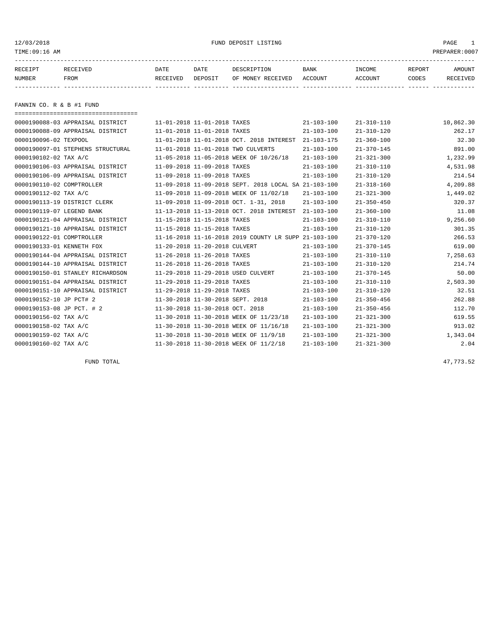## 12/03/2018 FUND DEPOSIT LISTING PAGE 1

| RECEIPT | RECEIVED | DATE     | DATE    | DESCRIPTION       | <b>BANK</b> | <b>TNCOME</b> | <b>REPORT</b> | AMOUNT          |
|---------|----------|----------|---------|-------------------|-------------|---------------|---------------|-----------------|
| NUMBER  | FROM     | RECEIVED | DEPOSIT | OF MONEY RECEIVED | ACCOUNT     | ACCOUNT       | CODES         | <b>RECEIVED</b> |
|         |          |          |         |                   |             |               |               |                 |

FANNIN CO. R & B #1 FUND

| ====================================== |  |                                  |                                                      |                  |                  |           |
|----------------------------------------|--|----------------------------------|------------------------------------------------------|------------------|------------------|-----------|
| 0000190088-03 APPRAISAL DISTRICT       |  | 11-01-2018 11-01-2018 TAXES      |                                                      | $21 - 103 - 100$ | $21 - 310 - 110$ | 10,862.30 |
| 0000190088-09 APPRAISAL DISTRICT       |  | 11-01-2018 11-01-2018 TAXES      |                                                      | $21 - 103 - 100$ | $21 - 310 - 120$ | 262.17    |
| 0000190096-02 TEXPOOL                  |  |                                  | 11-01-2018 11-01-2018 OCT. 2018 INTEREST             | $21 - 103 - 175$ | $21 - 360 - 100$ | 32.30     |
| 0000190097-01 STEPHENS STRUCTURAL      |  |                                  | 11-01-2018 11-01-2018 TWO CULVERTS                   | $21 - 103 - 100$ | $21 - 370 - 145$ | 891.00    |
| 0000190102-02 TAX A/C                  |  |                                  | 11-05-2018 11-05-2018 WEEK OF 10/26/18               | $21 - 103 - 100$ | $21 - 321 - 300$ | 1,232.99  |
| 0000190106-03 APPRAISAL DISTRICT       |  | 11-09-2018 11-09-2018 TAXES      |                                                      | $21 - 103 - 100$ | $21 - 310 - 110$ | 4,531.98  |
| 0000190106-09 APPRAISAL DISTRICT       |  | 11-09-2018 11-09-2018 TAXES      |                                                      | $21 - 103 - 100$ | $21 - 310 - 120$ | 214.54    |
| 0000190110-02 COMPTROLLER              |  |                                  | 11-09-2018 11-09-2018 SEPT, 2018 LOCAL SA 21-103-100 |                  | $21 - 318 - 160$ | 4,209.88  |
| 0000190112-02 TAX A/C                  |  |                                  | 11-09-2018 11-09-2018 WEEK OF 11/02/18               | $21 - 103 - 100$ | $21 - 321 - 300$ | 1,449.02  |
| 0000190113-19 DISTRICT CLERK           |  |                                  | 11-09-2018 11-09-2018 OCT. 1-31, 2018                | $21 - 103 - 100$ | $21 - 350 - 450$ | 320.37    |
| 0000190119-07 LEGEND BANK              |  |                                  | 11-13-2018 11-13-2018 OCT. 2018 INTEREST             | $21 - 103 - 100$ | $21 - 360 - 100$ | 11.08     |
| 0000190121-04 APPRAISAL DISTRICT       |  | 11-15-2018 11-15-2018 TAXES      |                                                      | $21 - 103 - 100$ | $21 - 310 - 110$ | 9,256.60  |
| 0000190121-10 APPRAISAL DISTRICT       |  | 11-15-2018 11-15-2018 TAXES      |                                                      | $21 - 103 - 100$ | $21 - 310 - 120$ | 301.35    |
| 0000190122-01 COMPTROLLER              |  |                                  | 11-16-2018 11-16-2018 2019 COUNTY LR SUPP 21-103-100 |                  | $21 - 370 - 120$ | 266.53    |
| 0000190133-01 KENNETH FOX              |  | 11-20-2018 11-20-2018 CULVERT    |                                                      | $21 - 103 - 100$ | $21 - 370 - 145$ | 619.00    |
| 0000190144-04 APPRAISAL DISTRICT       |  | 11-26-2018 11-26-2018 TAXES      |                                                      | $21 - 103 - 100$ | $21 - 310 - 110$ | 7,258.63  |
| 0000190144-10 APPRAISAL DISTRICT       |  | 11-26-2018 11-26-2018 TAXES      |                                                      | $21 - 103 - 100$ | $21 - 310 - 120$ | 214.74    |
| 0000190150-01 STANLEY RICHARDSON       |  |                                  | 11-29-2018 11-29-2018 USED CULVERT                   | $21 - 103 - 100$ | $21 - 370 - 145$ | 50.00     |
| 0000190151-04 APPRAISAL DISTRICT       |  | 11-29-2018 11-29-2018 TAXES      |                                                      | $21 - 103 - 100$ | $21 - 310 - 110$ | 2,503.30  |
| 0000190151-10 APPRAISAL DISTRICT       |  | 11-29-2018 11-29-2018 TAXES      |                                                      | $21 - 103 - 100$ | $21 - 310 - 120$ | 32.51     |
| 0000190152-10 JP PCT# 2                |  | 11-30-2018 11-30-2018 SEPT. 2018 |                                                      | $21 - 103 - 100$ | $21 - 350 - 456$ | 262.88    |
| 0000190153-08 JP PCT. # 2              |  | 11-30-2018 11-30-2018 OCT. 2018  |                                                      | $21 - 103 - 100$ | $21 - 350 - 456$ | 112.70    |
| 0000190156-02 TAX A/C                  |  |                                  | 11-30-2018 11-30-2018 WEEK OF 11/23/18               | $21 - 103 - 100$ | $21 - 321 - 300$ | 619.55    |
| 0000190158-02 TAX A/C                  |  |                                  | 11-30-2018 11-30-2018 WEEK OF 11/16/18               | $21 - 103 - 100$ | $21 - 321 - 300$ | 913.02    |
| 0000190159-02 TAX A/C                  |  |                                  | 11-30-2018 11-30-2018 WEEK OF 11/9/18                | $21 - 103 - 100$ | $21 - 321 - 300$ | 1,343.04  |
| 0000190160-02 TAX A/C                  |  |                                  | 11-30-2018 11-30-2018 WEEK OF 11/2/18                | $21 - 103 - 100$ | $21 - 321 - 300$ | 2.04      |

FUND TOTAL 47,773.52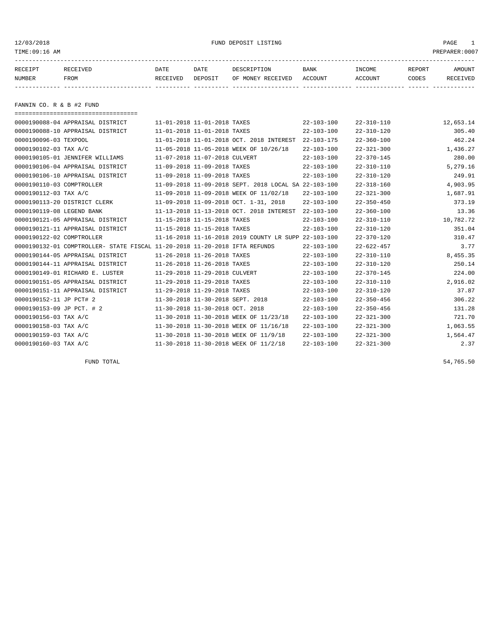12/03/2018 FUND DEPOSIT LISTING PAGE 1

| RECEIPT | RECEIVED | DATE     | DATE    | DESCRIPTION               | BANK | INCOME  | REPORT | AMOUNT   |
|---------|----------|----------|---------|---------------------------|------|---------|--------|----------|
| NUMBER  | FROM     | RECEIVED | DEPOSIT | OF MONEY RECEIVED ACCOUNT |      | ACCOUNT | CODES  | RECEIVED |
|         |          |          |         |                           |      |         |        |          |
|         |          |          |         |                           |      |         |        |          |

FANNIN CO. R & B #2 FUND

| =====================================                                      |                               |                                  |                                                      |                  |                  |           |
|----------------------------------------------------------------------------|-------------------------------|----------------------------------|------------------------------------------------------|------------------|------------------|-----------|
| 0000190088-04 APPRAISAL DISTRICT                                           |                               | 11-01-2018 11-01-2018 TAXES      |                                                      | $22 - 103 - 100$ | $22 - 310 - 110$ | 12,653.14 |
| 0000190088-10 APPRAISAL DISTRICT                                           |                               | 11-01-2018 11-01-2018 TAXES      |                                                      | $22 - 103 - 100$ | $22 - 310 - 120$ | 305.40    |
| 0000190096-03 TEXPOOL                                                      |                               |                                  | 11-01-2018 11-01-2018 OCT. 2018 INTEREST             | $22 - 103 - 175$ | $22 - 360 - 100$ | 462.24    |
| 0000190102-03 TAX A/C                                                      |                               |                                  | 11-05-2018 11-05-2018 WEEK OF 10/26/18               | $22 - 103 - 100$ | $22 - 321 - 300$ | 1,436.27  |
| 0000190105-01 JENNIFER WILLIAMS                                            |                               | 11-07-2018 11-07-2018 CULVERT    |                                                      | $22 - 103 - 100$ | $22 - 370 - 145$ | 280.00    |
| 0000190106-04 APPRAISAL DISTRICT                                           |                               | 11-09-2018 11-09-2018 TAXES      |                                                      | $22 - 103 - 100$ | $22 - 310 - 110$ | 5,279.16  |
| 0000190106-10 APPRAISAL DISTRICT                                           |                               | 11-09-2018 11-09-2018 TAXES      |                                                      | $22 - 103 - 100$ | $22 - 310 - 120$ | 249.91    |
| 0000190110-03 COMPTROLLER                                                  |                               |                                  | 11-09-2018 11-09-2018 SEPT, 2018 LOCAL SA 22-103-100 |                  | $22 - 318 - 160$ | 4,903.95  |
| 0000190112-03 TAX A/C                                                      |                               |                                  | 11-09-2018 11-09-2018 WEEK OF 11/02/18               | $22 - 103 - 100$ | $22 - 321 - 300$ | 1,687.91  |
| 0000190113-20 DISTRICT CLERK                                               |                               |                                  | 11-09-2018 11-09-2018 OCT. 1-31, 2018                | $22 - 103 - 100$ | $22 - 350 - 450$ | 373.19    |
| 0000190119-08 LEGEND BANK                                                  |                               |                                  | 11-13-2018 11-13-2018 OCT. 2018 INTEREST             | $22 - 103 - 100$ | $22 - 360 - 100$ | 13.36     |
| 0000190121-05 APPRAISAL DISTRICT                                           |                               | 11-15-2018 11-15-2018 TAXES      |                                                      | $22 - 103 - 100$ | $22 - 310 - 110$ | 10,782.72 |
| 0000190121-11 APPRAISAL DISTRICT                                           |                               | 11-15-2018 11-15-2018 TAXES      |                                                      | $22 - 103 - 100$ | $22 - 310 - 120$ | 351.04    |
| 0000190122-02 COMPTROLLER                                                  |                               |                                  | 11-16-2018 11-16-2018 2019 COUNTY LR SUPP 22-103-100 |                  | $22 - 370 - 120$ | 310.47    |
| 0000190132-01 COMPTROLLER- STATE FISCAL 11-20-2018 11-20-2018 IFTA REFUNDS |                               |                                  |                                                      | $22 - 103 - 100$ | $22 - 622 - 457$ | 3.77      |
| 0000190144-05 APPRAISAL DISTRICT                                           |                               | 11-26-2018 11-26-2018 TAXES      |                                                      | $22 - 103 - 100$ | $22 - 310 - 110$ | 8,455.35  |
| 0000190144-11 APPRAISAL DISTRICT                                           | 11-26-2018 11-26-2018 TAXES   |                                  |                                                      | $22 - 103 - 100$ | $22 - 310 - 120$ | 250.14    |
| 0000190149-01 RICHARD E. LUSTER                                            | 11-29-2018 11-29-2018 CULVERT |                                  |                                                      | $22 - 103 - 100$ | $22 - 370 - 145$ | 224.00    |
| 0000190151-05 APPRAISAL DISTRICT                                           |                               | 11-29-2018 11-29-2018 TAXES      |                                                      | $22 - 103 - 100$ | $22 - 310 - 110$ | 2,916.02  |
| 0000190151-11 APPRAISAL DISTRICT                                           |                               | 11-29-2018 11-29-2018 TAXES      |                                                      | $22 - 103 - 100$ | $22 - 310 - 120$ | 37.87     |
| 0000190152-11 JP PCT# 2                                                    |                               | 11-30-2018 11-30-2018 SEPT. 2018 |                                                      | $22 - 103 - 100$ | $22 - 350 - 456$ | 306.22    |
| 0000190153-09 JP PCT. # 2                                                  |                               | 11-30-2018 11-30-2018 OCT. 2018  |                                                      | $22 - 103 - 100$ | $22 - 350 - 456$ | 131.28    |
| 0000190156-03 TAX A/C                                                      |                               |                                  | 11-30-2018 11-30-2018 WEEK OF 11/23/18               | $22 - 103 - 100$ | $22 - 321 - 300$ | 721.70    |
| 0000190158-03 TAX A/C                                                      |                               |                                  | 11-30-2018 11-30-2018 WEEK OF 11/16/18               | $22 - 103 - 100$ | $22 - 321 - 300$ | 1,063.55  |
| 0000190159-03 TAX A/C                                                      |                               |                                  | 11-30-2018 11-30-2018 WEEK OF 11/9/18                | $22 - 103 - 100$ | $22 - 321 - 300$ | 1,564.47  |
| 0000190160-03 TAX A/C                                                      |                               |                                  | 11-30-2018 11-30-2018 WEEK OF 11/2/18                | $22 - 103 - 100$ | $22 - 321 - 300$ | 2.37      |
|                                                                            |                               |                                  |                                                      |                  |                  |           |

FUND TOTAL 54,765.50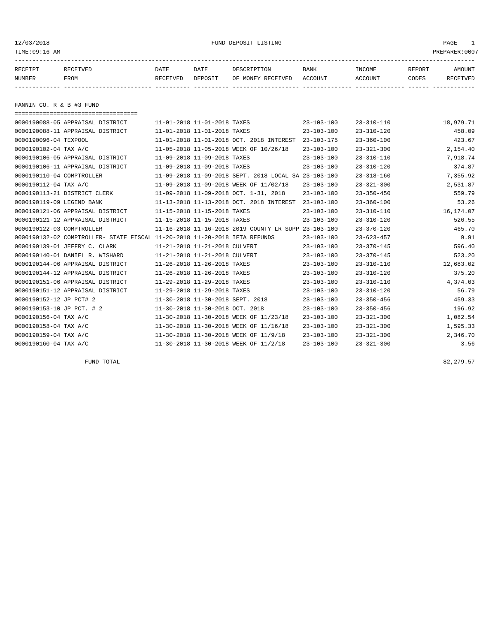12/03/2018 FUND DEPOSIT LISTING PAGE 1

| RECEIPT | RECEIVED | DATE     | DATE    | DESCRIPTION               | BANK | INCOME  | REPORT | AMOUNT   |
|---------|----------|----------|---------|---------------------------|------|---------|--------|----------|
| NUMBER  | FROM     | RECEIVED | DEPOSIT | OF MONEY RECEIVED ACCOUNT |      | ACCOUNT | CODES  | RECEIVED |
|         |          |          |         |                           |      |         |        |          |

FANNIN CO. R & B #3 FUND

| =====================================                                      |                                  |                                                      |                  |                  |           |
|----------------------------------------------------------------------------|----------------------------------|------------------------------------------------------|------------------|------------------|-----------|
| 0000190088-05 APPRAISAL DISTRICT                                           | 11-01-2018 11-01-2018 TAXES      |                                                      | $23 - 103 - 100$ | $23 - 310 - 110$ | 18,979.71 |
| 0000190088-11 APPRAISAL DISTRICT                                           | 11-01-2018 11-01-2018 TAXES      |                                                      | $23 - 103 - 100$ | $23 - 310 - 120$ | 458.09    |
| 0000190096-04 TEXPOOL                                                      |                                  | 11-01-2018 11-01-2018 OCT. 2018 INTEREST             | $23 - 103 - 175$ | $23 - 360 - 100$ | 423.67    |
| 0000190102-04 TAX A/C                                                      |                                  | 11-05-2018 11-05-2018 WEEK OF 10/26/18               | $23 - 103 - 100$ | $23 - 321 - 300$ | 2,154.40  |
| 0000190106-05 APPRAISAL DISTRICT                                           | 11-09-2018 11-09-2018 TAXES      |                                                      | $23 - 103 - 100$ | $23 - 310 - 110$ | 7,918.74  |
| 0000190106-11 APPRAISAL DISTRICT                                           | 11-09-2018 11-09-2018 TAXES      |                                                      | $23 - 103 - 100$ | $23 - 310 - 120$ | 374.87    |
| 0000190110-04 COMPTROLLER                                                  |                                  | 11-09-2018 11-09-2018 SEPT. 2018 LOCAL SA 23-103-100 |                  | $23 - 318 - 160$ | 7,355.92  |
| 0000190112-04 TAX A/C                                                      |                                  | 11-09-2018 11-09-2018 WEEK OF 11/02/18               | $23 - 103 - 100$ | $23 - 321 - 300$ | 2,531.87  |
| 0000190113-21 DISTRICT CLERK                                               |                                  | 11-09-2018 11-09-2018 OCT. 1-31, 2018                | $23 - 103 - 100$ | $23 - 350 - 450$ | 559.79    |
| 0000190119-09 LEGEND BANK                                                  |                                  | 11-13-2018 11-13-2018 OCT. 2018 INTEREST             | $23 - 103 - 100$ | $23 - 360 - 100$ | 53.26     |
| 0000190121-06 APPRAISAL DISTRICT                                           | 11-15-2018 11-15-2018 TAXES      |                                                      | $23 - 103 - 100$ | $23 - 310 - 110$ | 16,174.07 |
| 0000190121-12 APPRAISAL DISTRICT                                           | 11-15-2018 11-15-2018 TAXES      |                                                      | $23 - 103 - 100$ | $23 - 310 - 120$ | 526.55    |
| 0000190122-03 COMPTROLLER                                                  |                                  | 11-16-2018 11-16-2018 2019 COUNTY LR SUPP 23-103-100 |                  | $23 - 370 - 120$ | 465.70    |
| 0000190132-02 COMPTROLLER- STATE FISCAL 11-20-2018 11-20-2018 IFTA REFUNDS |                                  |                                                      | $23 - 103 - 100$ | $23 - 623 - 457$ | 9.91      |
| 0000190139-01 JEFFRY C. CLARK                                              | 11-21-2018 11-21-2018 CULVERT    |                                                      | $23 - 103 - 100$ | $23 - 370 - 145$ | 596.40    |
| 0000190140-01 DANIEL R. WISHARD                                            | 11-21-2018 11-21-2018 CULVERT    |                                                      | $23 - 103 - 100$ | $23 - 370 - 145$ | 523.20    |
| 0000190144-06 APPRAISAL DISTRICT                                           | 11-26-2018 11-26-2018 TAXES      |                                                      | $23 - 103 - 100$ | $23 - 310 - 110$ | 12,683.02 |
| 0000190144-12 APPRAISAL DISTRICT                                           | 11-26-2018 11-26-2018 TAXES      |                                                      | $23 - 103 - 100$ | $23 - 310 - 120$ | 375.20    |
| 0000190151-06 APPRAISAL DISTRICT                                           | 11-29-2018 11-29-2018 TAXES      |                                                      | $23 - 103 - 100$ | $23 - 310 - 110$ | 4,374.03  |
| 0000190151-12 APPRAISAL DISTRICT                                           | 11-29-2018 11-29-2018 TAXES      |                                                      | $23 - 103 - 100$ | $23 - 310 - 120$ | 56.79     |
| 0000190152-12 JP PCT# 2                                                    | 11-30-2018 11-30-2018 SEPT. 2018 |                                                      | $23 - 103 - 100$ | $23 - 350 - 456$ | 459.33    |
| 0000190153-10 JP PCT. # 2                                                  | 11-30-2018 11-30-2018 OCT. 2018  |                                                      | $23 - 103 - 100$ | $23 - 350 - 456$ | 196.92    |
| 0000190156-04 TAX A/C                                                      |                                  | 11-30-2018 11-30-2018 WEEK OF 11/23/18               | $23 - 103 - 100$ | $23 - 321 - 300$ | 1,082.54  |
| 0000190158-04 TAX A/C                                                      |                                  | 11-30-2018 11-30-2018 WEEK OF 11/16/18               | $23 - 103 - 100$ | $23 - 321 - 300$ | 1,595.33  |
| 0000190159-04 TAX A/C                                                      |                                  | 11-30-2018 11-30-2018 WEEK OF 11/9/18                | $23 - 103 - 100$ | $23 - 321 - 300$ | 2,346.70  |
| 0000190160-04 TAX A/C                                                      |                                  | 11-30-2018 11-30-2018 WEEK OF 11/2/18                | $23 - 103 - 100$ | $23 - 321 - 300$ | 3.56      |
|                                                                            |                                  |                                                      |                  |                  |           |

FUND TOTAL 82,279.57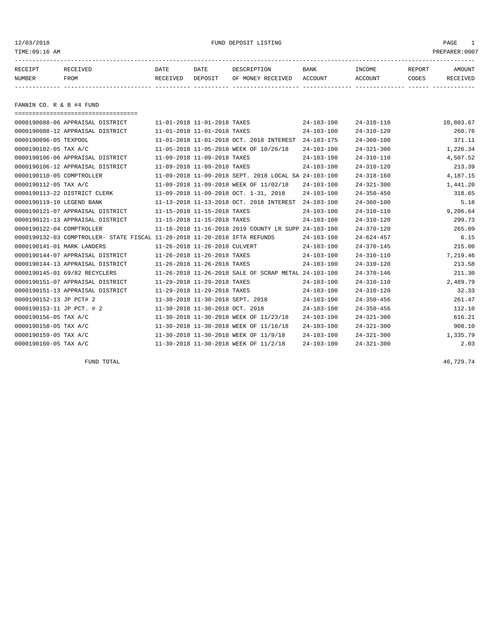12/03/2018 FUND DEPOSIT LISTING PAGE 1

| RECEIPT | RECEIVED | DATE     | DATE    | DESCRIPTION               | <b>BANK</b> | <b>TNCOME</b> | <b>REPORT</b> | <b>AMOUNT</b>   |
|---------|----------|----------|---------|---------------------------|-------------|---------------|---------------|-----------------|
| NUMBER  | FROM     | RECEIVED | DEPOSIT | OF MONEY RECEIVED ACCOUNT |             | ACCOUNT       | <b>CODES</b>  | <b>RECEIVED</b> |
|         |          |          |         |                           |             |               |               |                 |

FANNIN CO. R & B #4 FUND

| ===================================== |                                                                            |                                  |                                                      |                  |                  |           |
|---------------------------------------|----------------------------------------------------------------------------|----------------------------------|------------------------------------------------------|------------------|------------------|-----------|
| 0000190088-06 APPRAISAL DISTRICT      |                                                                            | 11-01-2018 11-01-2018 TAXES      |                                                      | 24-103-100       | $24 - 310 - 110$ | 10,803.67 |
| 0000190088-12 APPRAISAL DISTRICT      |                                                                            | 11-01-2018 11-01-2018 TAXES      |                                                      | $24 - 103 - 100$ | $24 - 310 - 120$ | 260.76    |
| 0000190096-05 TEXPOOL                 |                                                                            |                                  | 11-01-2018 11-01-2018 OCT. 2018 INTEREST             | $24 - 103 - 175$ | $24 - 360 - 100$ | 371.11    |
| 0000190102-05 TAX A/C                 |                                                                            |                                  | 11-05-2018 11-05-2018 WEEK OF 10/26/18               | $24 - 103 - 100$ | $24 - 321 - 300$ | 1,226.34  |
| 0000190106-06 APPRAISAL DISTRICT      |                                                                            | 11-09-2018 11-09-2018 TAXES      |                                                      | $24 - 103 - 100$ | $24 - 310 - 110$ | 4,507.52  |
| 0000190106-12 APPRAISAL DISTRICT      |                                                                            | 11-09-2018 11-09-2018 TAXES      |                                                      | $24 - 103 - 100$ | $24 - 310 - 120$ | 213.39    |
| 0000190110-05 COMPTROLLER             |                                                                            |                                  | 11-09-2018 11-09-2018 SEPT. 2018 LOCAL SA 24-103-100 |                  | $24 - 318 - 160$ | 4,187.15  |
| 0000190112-05 TAX A/C                 |                                                                            |                                  | 11-09-2018 11-09-2018 WEEK OF 11/02/18               | $24 - 103 - 100$ | $24 - 321 - 300$ | 1,441.20  |
| 0000190113-22 DISTRICT CLERK          |                                                                            |                                  | 11-09-2018 11-09-2018 OCT, 1-31, 2018                | $24 - 103 - 100$ | $24 - 350 - 450$ | 318.65    |
| 0000190119-10 LEGEND BANK             |                                                                            |                                  | 11-13-2018 11-13-2018 OCT. 2018 INTEREST             | $24 - 103 - 100$ | $24 - 360 - 100$ | 5.18      |
| 0000190121-07 APPRAISAL DISTRICT      |                                                                            | 11-15-2018 11-15-2018 TAXES      |                                                      | $24 - 103 - 100$ | $24 - 310 - 110$ | 9,206.64  |
| 0000190121-13 APPRAISAL DISTRICT      |                                                                            | 11-15-2018 11-15-2018 TAXES      |                                                      | $24 - 103 - 100$ | $24 - 310 - 120$ | 299.73    |
| 0000190122-04 COMPTROLLER             |                                                                            |                                  | 11-16-2018 11-16-2018 2019 COUNTY LR SUPP 24-103-100 |                  | $24 - 370 - 120$ | 265.09    |
|                                       | 0000190132-03 COMPTROLLER- STATE FISCAL 11-20-2018 11-20-2018 IFTA REFUNDS |                                  |                                                      | $24 - 103 - 100$ | $24 - 624 - 457$ | 6.15      |
| 0000190141-01 MARK LANDERS            |                                                                            | 11-26-2018 11-26-2018 CULVERT    |                                                      | $24 - 103 - 100$ | $24 - 370 - 145$ | 215.00    |
| 0000190144-07 APPRAISAL DISTRICT      |                                                                            | 11-26-2018 11-26-2018 TAXES      |                                                      | $24 - 103 - 100$ | $24 - 310 - 110$ | 7,219.46  |
| 0000190144-13 APPRAISAL DISTRICT      |                                                                            | 11-26-2018 11-26-2018 TAXES      |                                                      | $24 - 103 - 100$ | $24 - 310 - 120$ | 213.58    |
| 0000190145-01 69/82 RECYCLERS         |                                                                            |                                  | 11-26-2018 11-26-2018 SALE OF SCRAP METAL 24-103-100 |                  | $24 - 370 - 146$ | 211.30    |
| 0000190151-07 APPRAISAL DISTRICT      |                                                                            | 11-29-2018 11-29-2018 TAXES      |                                                      | $24 - 103 - 100$ | $24 - 310 - 110$ | 2,489.79  |
| 0000190151-13 APPRAISAL DISTRICT      |                                                                            | 11-29-2018 11-29-2018 TAXES      |                                                      | $24 - 103 - 100$ | $24 - 310 - 120$ | 32.33     |
| 0000190152-13 JP PCT# 2               |                                                                            | 11-30-2018 11-30-2018 SEPT. 2018 |                                                      | $24 - 103 - 100$ | $24 - 350 - 456$ | 261.47    |
| 0000190153-11 JP PCT. # 2             |                                                                            | 11-30-2018 11-30-2018 OCT. 2018  |                                                      | $24 - 103 - 100$ | $24 - 350 - 456$ | 112.10    |
| 0000190156-05 TAX A/C                 |                                                                            |                                  | 11-30-2018 11-30-2018 WEEK OF 11/23/18               | $24 - 103 - 100$ | $24 - 321 - 300$ | 616.21    |
| 0000190158-05 TAX A/C                 |                                                                            |                                  | 11-30-2018 11-30-2018 WEEK OF 11/16/18               | $24 - 103 - 100$ | $24 - 321 - 300$ | 908.10    |
| 0000190159-05 TAX A/C                 |                                                                            |                                  | 11-30-2018 11-30-2018 WEEK OF 11/9/18                | $24 - 103 - 100$ | $24 - 321 - 300$ | 1,335.79  |
| 0000190160-05 TAX A/C                 |                                                                            |                                  | 11-30-2018 11-30-2018 WEEK OF 11/2/18                | $24 - 103 - 100$ | $24 - 321 - 300$ | 2.03      |
|                                       |                                                                            |                                  |                                                      |                  |                  |           |

FUND TOTAL  $46,729.74$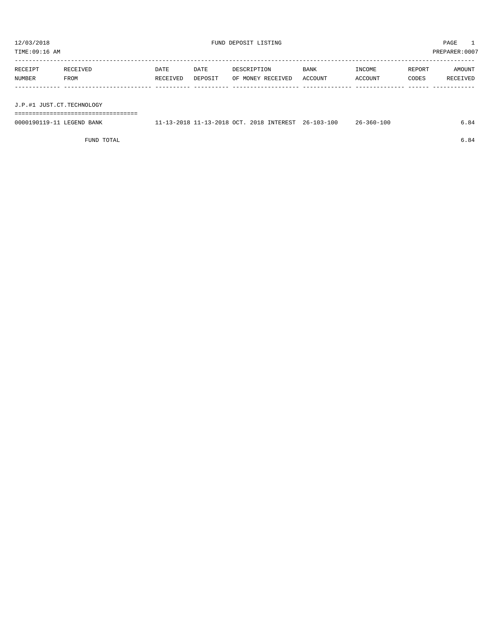| 12/03/2018<br>TIME:09:16 AM |                  |                  |                 | FUND DEPOSIT LISTING             |                        |                   |                 | PAGE<br>1.<br>PREPARER:0007 |  |  |
|-----------------------------|------------------|------------------|-----------------|----------------------------------|------------------------|-------------------|-----------------|-----------------------------|--|--|
| RECEIPT<br>NUMBER           | RECEIVED<br>FROM | DATE<br>RECEIVED | DATE<br>DEPOSIT | DESCRIPTION<br>OF MONEY RECEIVED | <b>BANK</b><br>ACCOUNT | INCOME<br>ACCOUNT | REPORT<br>CODES | AMOUNT<br>RECEIVED          |  |  |
| J.P.#1 JUST.CT.TECHNOLOGY   |                  |                  |                 |                                  |                        |                   |                 |                             |  |  |

===================================

| 0000190119-11<br>LEGEND BANK | $1 - 13 - 2018$ 11-13-2018 OCT, ^^ | 2018 INTEREST | 26-103-100 | $26 - 360 - 100$ | . 84 |
|------------------------------|------------------------------------|---------------|------------|------------------|------|
|                              |                                    |               |            |                  |      |

FUND TOTAL  $6.84$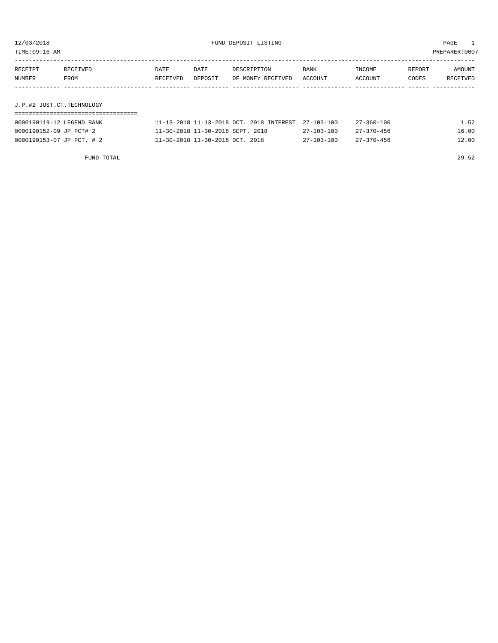TIME:09:16 AM PREPARER:0007

| RECEIPT | RECEIVED | DATE     | DATE    | DESCRIPTION       | BANK    | INCOME  | REPORT | AMOUNT   |
|---------|----------|----------|---------|-------------------|---------|---------|--------|----------|
| NUMBER  | FROM     | RECEIVED | DEPOSIT | OF MONEY RECEIVED | ACCOUNT | ACCOUNT | CODES  | RECEIVED |
|         |          |          |         |                   |         |         |        |          |
|         |          |          |         |                   |         |         |        |          |

## J.P.#2 JUST.CT.TECHNOLOGY ===================================

| 0000190119-12 LEGEND BANK | 11-13-2018 11-13-2018 OCT, 2018 INTEREST 27-103-100 |                  | 27-360-100       | 1.52  |
|---------------------------|-----------------------------------------------------|------------------|------------------|-------|
| 0000190152-09 JP PCT# 2   | 11-30-2018 11-30-2018 SEPT. 2018                    | 27-103-100       | $27 - 370 - 456$ | 16.00 |
| 0000190153-07 JP PCT. # 2 | $11-30-2018$ $11-30-2018$ OCT, $2018$               | $27 - 103 - 100$ | $27 - 370 - 456$ | 12.00 |

FUND TOTAL 29.52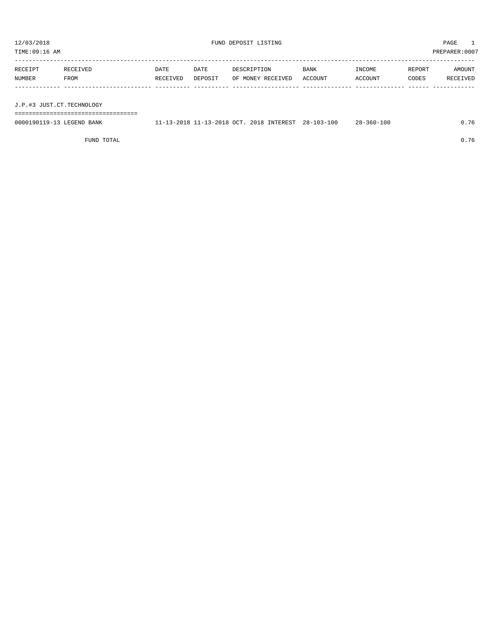| 12/03/2018<br>FUND DEPOSIT LISTING<br>TIME:09:16 AM |          |          |         |                   |             |         | PAGE<br>PREPARER:0007 |          |  |
|-----------------------------------------------------|----------|----------|---------|-------------------|-------------|---------|-----------------------|----------|--|
|                                                     |          |          |         |                   |             |         |                       |          |  |
| RECEIPT                                             | RECEIVED | DATE     | DATE    | DESCRIPTION       | <b>BANK</b> | INCOME  | REPORT                | AMOUNT   |  |
| <b>NUMBER</b>                                       | FROM     | RECEIVED | DEPOSIT | OF MONEY RECEIVED | ACCOUNT     | ACCOUNT | CODES                 | RECEIVED |  |
|                                                     |          |          |         |                   |             |         |                       |          |  |
|                                                     |          |          |         |                   |             |         |                       |          |  |
| J.P.#3 JUST.CT.TECHNOLOGY                           |          |          |         |                   |             |         |                       |          |  |

===================================

| 0000190119-13 LEGEND BANK | 11-13-2018 11-13-2018 OCT. 2018 INTEREST 28-103-100 |  | $28 - 360 - 100$ | 0.76 |
|---------------------------|-----------------------------------------------------|--|------------------|------|
|                           |                                                     |  |                  |      |

FUND TOTAL 0.76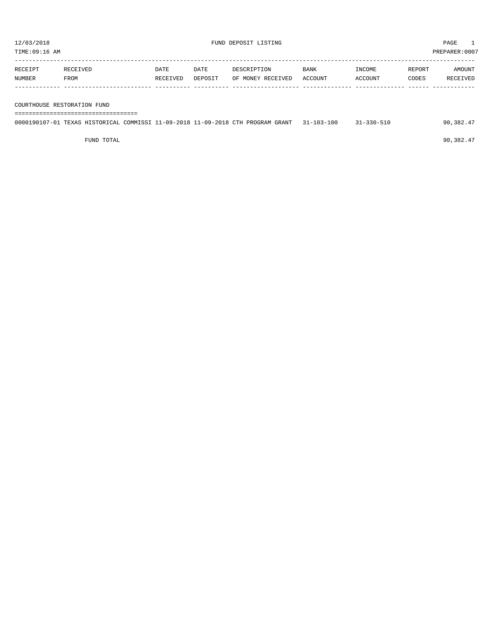| TIME:09:16 AM |          |          |         |                   |         |         |        | PREPARER:0007 |
|---------------|----------|----------|---------|-------------------|---------|---------|--------|---------------|
| RECEIPT       | RECEIVED | DATE     | DATE    | DESCRIPTION       | BANK    | INCOME  | REPORT | AMOUNT        |
| NUMBER        | FROM     | RECEIVED | DEPOSIT | OF MONEY RECEIVED | ACCOUNT | ACCOUNT | CODES  | RECEIVED      |
|               |          |          |         |                   |         |         |        |               |

COURTHOUSE RESTORATION FUND

===================================

| 0000190107-01 TEXAS HISTORICAL COMMISSI 11-09-2018 11-09-2018 CTH PROGRAM GRANT 31-103-100 |  |  |  |  | $31 - 330 - 510$ | 90,382.47 |
|--------------------------------------------------------------------------------------------|--|--|--|--|------------------|-----------|
|                                                                                            |  |  |  |  |                  |           |

FUND TOTAL  $90,382.47$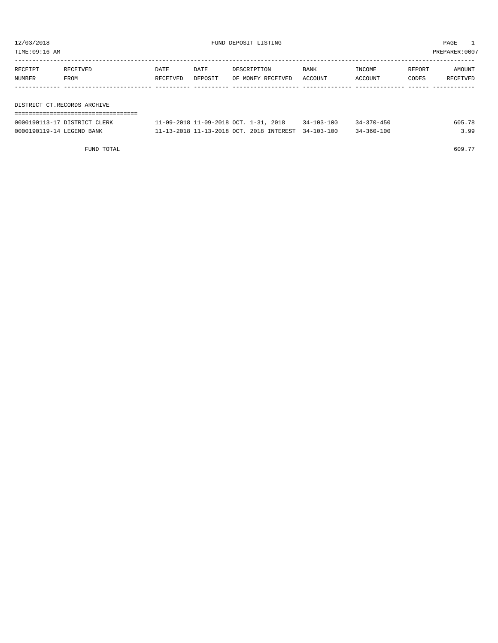TIME:09:16 AM PREPARER:0007

| RECEIPT | RECEIVED                    | DATE     | DATE    | DESCRIPTION       | BANK    | INCOME  | REPORT | AMOUNT   |
|---------|-----------------------------|----------|---------|-------------------|---------|---------|--------|----------|
| NUMBER  | FROM                        | RECEIVED | DEPOSIT | OF MONEY RECEIVED | ACCOUNT | ACCOUNT | CODES  | RECEIVED |
|         |                             |          |         |                   |         |         |        |          |
|         |                             |          |         |                   |         |         |        |          |
|         | DISTRICT CT.RECORDS ARCHIVE |          |         |                   |         |         |        |          |
|         |                             |          |         |                   |         |         |        |          |

| 0000190113-17 DISTRICT CLERK | 11-09-2018 11-09-2018 OCT. 1-31, 2018               | $34 - 103 - 100$ | $34 - 370 - 450$ | 605.      |
|------------------------------|-----------------------------------------------------|------------------|------------------|-----------|
| 0000190119-14 LEGEND BANK    | 11-13-2018 11-13-2018 OCT, 2018 INTEREST 34-103-100 |                  | $34 - 360 - 100$ | <b>QQ</b> |

FUND TOTAL  $609.77$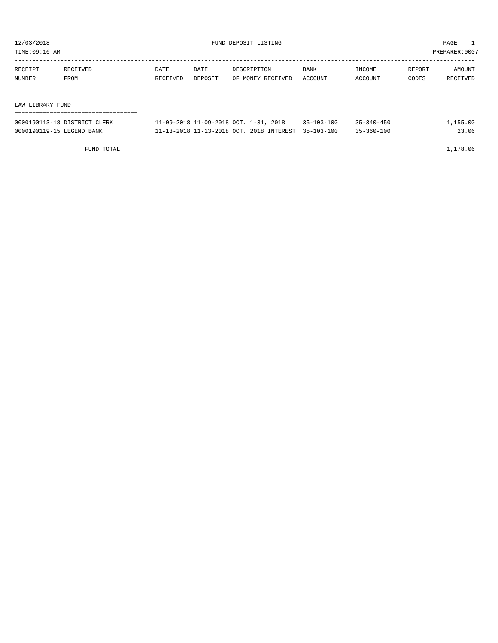TIME:09:16 AM PREPARER:0007

| RECEIPT          | RECEIVED | DATE     | DATE    | DESCRIPTION       | BANK    | INCOME  | REPORT | AMOUNT   |
|------------------|----------|----------|---------|-------------------|---------|---------|--------|----------|
| NUMBER           | FROM     | RECEIVED | DEPOSIT | OF MONEY RECEIVED | ACCOUNT | ACCOUNT | CODES  | RECEIVED |
|                  |          |          |         |                   |         |         |        |          |
|                  |          |          |         |                   |         |         |        |          |
| LAW LIBRARY FUND |          |          |         |                   |         |         |        |          |

| =========================    |                                                     |                  |                  |          |
|------------------------------|-----------------------------------------------------|------------------|------------------|----------|
| 0000190113-18 DISTRICT CLERK | 11-09-2018 11-09-2018 OCT. 1-31, 2018               | $35 - 103 - 100$ | $35 - 340 - 450$ | 1,155.00 |
| 0000190119-15 LEGEND BANK    | 11-13-2018 11-13-2018 OCT. 2018 INTEREST 35-103-100 |                  | $35 - 360 - 100$ | 23.06    |

FUND TOTAL 1,178.06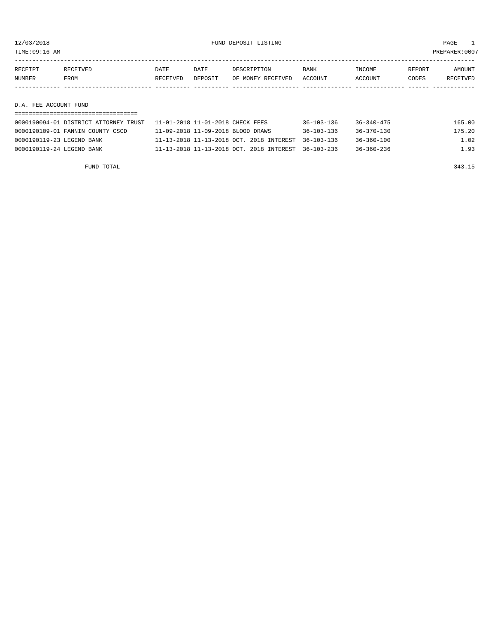12/03/2018 FUND DEPOSIT LISTING PAGE 1

| RECEIPT | RECEIVED    | DATE     | DATE    | DESCRIPTION       | BANK    | <b>TNCOME</b> | REPORT | <b>AMOUNT</b>   |
|---------|-------------|----------|---------|-------------------|---------|---------------|--------|-----------------|
| NUMBER  | <b>FROM</b> | RECEIVED | DEPOSIT | OF MONEY RECEIVED | ACCOUNT | ACCOUNT       | CODES  | <b>RECEIVED</b> |
|         |             |          |         |                   |         |               |        |                 |

D.A. FEE ACCOUNT FUND

| 0000190094-01 DISTRICT ATTORNEY TRUST                11-01-2018 11-01-2018 CHECK FEES |                                                     | $36 - 103 - 136$ | 36-340-475 | 165.00 |
|---------------------------------------------------------------------------------------|-----------------------------------------------------|------------------|------------|--------|
| 0000190109-01 FANNIN COUNTY CSCD                                                      | 11-09-2018 11-09-2018 BLOOD DRAWS                   | $36 - 103 - 136$ | 36-370-130 | 175.20 |
| 0000190119-23 LEGEND BANK                                                             | 11-13-2018 11-13-2018 OCT. 2018 INTEREST 36-103-136 |                  | 36-360-100 | 1.02   |
| 0000190119-24 LEGEND BANK                                                             | 11-13-2018 11-13-2018 OCT. 2018 INTEREST 36-103-236 |                  | 36-360-236 | 1.93   |

FUND TOTAL 343.15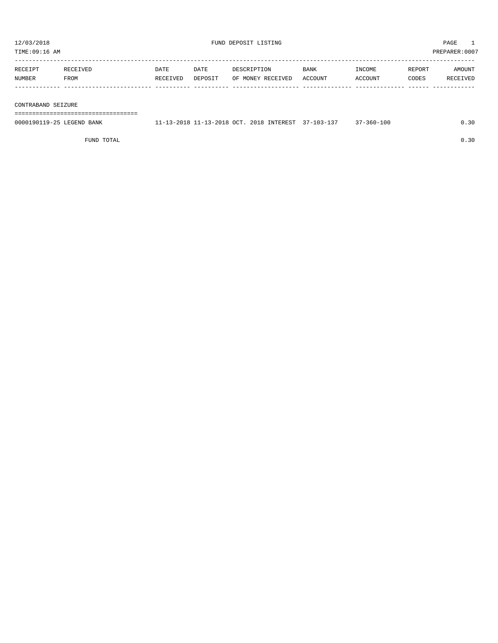| TIME:09:16 AM      |          |          |         |                   |         |         |        | PREPARER: 0007 |
|--------------------|----------|----------|---------|-------------------|---------|---------|--------|----------------|
| RECEIPT            | RECEIVED | DATE     | DATE    | DESCRIPTION       | BANK    | INCOME  | REPORT | AMOUNT         |
| NUMBER             | FROM     | RECEIVED | DEPOSIT | OF MONEY RECEIVED | ACCOUNT | ACCOUNT | CODES  | RECEIVED       |
|                    |          |          |         |                   |         |         |        |                |
| CONTRABAND SEIZURE |          |          |         |                   |         |         |        |                |

===================================

| 0000190119-25 LEGEND BANK | 11-13-2018 11-13-2018 OCT. 2018 INTEREST 37-103-137 |  | $37 - 360 - 100$ | J.30 |
|---------------------------|-----------------------------------------------------|--|------------------|------|
|                           |                                                     |  |                  |      |

FUND TOTAL  $0.30$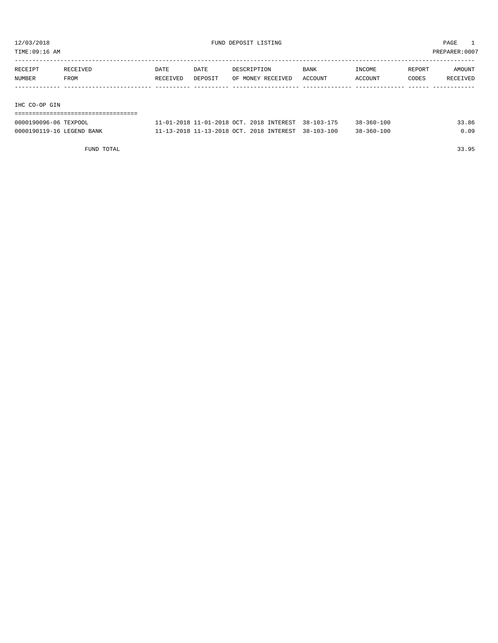TIME:09:16 AM PREPARER:0007

| RECEIPT       | RECEIVED | DATE     | DATE    | DESCRIPTION       | <b>BANK</b> | INCOME  | REPORT | AMOUNT   |
|---------------|----------|----------|---------|-------------------|-------------|---------|--------|----------|
| NUMBER        | FROM     | RECEIVED | DEPOSIT | OF MONEY RECEIVED | ACCOUNT     | ACCOUNT | CODES  | RECEIVED |
|               |          |          |         |                   |             |         |        |          |
|               |          |          |         |                   |             |         |        |          |
| IHC CO-OP GIN |          |          |         |                   |             |         |        |          |

# ===================================

| 0000190096-06 TEXPOOL     | 11-01-2018 11-01-2018 OCT, 2018 INTEREST 38-103-175 |  | $38 - 360 - 100$ | 33.86 |
|---------------------------|-----------------------------------------------------|--|------------------|-------|
| 0000190119-16 LEGEND BANK | 11-13-2018 11-13-2018 OCT, 2018 INTEREST 38-103-100 |  | $38 - 360 - 100$ | 0.09  |

FUND TOTAL 33.95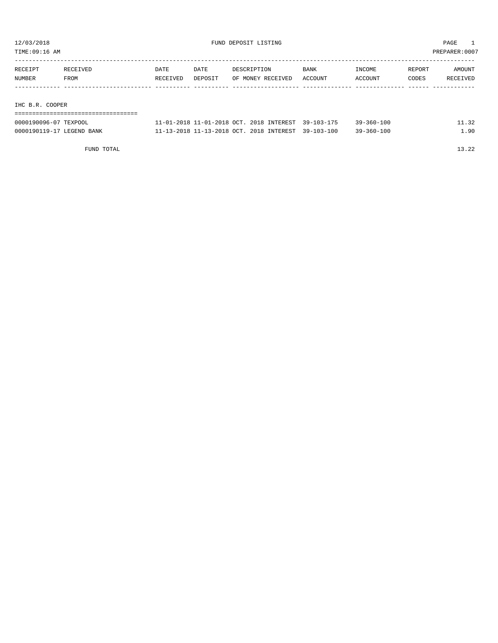TIME:09:16 AM PREPARER:0007

| RECEIPT         | RECEIVED | DATE     | DATE    | DESCRIPTION       | <b>BANK</b> | INCOME  | REPORT | AMOUNT   |  |
|-----------------|----------|----------|---------|-------------------|-------------|---------|--------|----------|--|
| NUMBER          | FROM     | RECEIVED | DEPOSIT | OF MONEY RECEIVED | ACCOUNT     | ACCOUNT | CODES  | RECEIVED |  |
|                 |          |          |         |                   |             |         |        |          |  |
|                 |          |          |         |                   |             |         |        |          |  |
| IHC B.R. COOPER |          |          |         |                   |             |         |        |          |  |
|                 |          |          |         |                   |             |         |        |          |  |

| 0000190096-07 TEXPOOL     | 11-01-2018 11-01-2018 OCT, 2018 INTEREST 39-103-175 |  | $39 - 360 - 100$ |     |
|---------------------------|-----------------------------------------------------|--|------------------|-----|
| 0000190119-17 LEGEND BANK | 11-13-2018 11-13-2018 OCT. 2018 INTEREST 39-103-100 |  | $39 - 360 - 100$ | .90 |

FUND TOTAL 13.22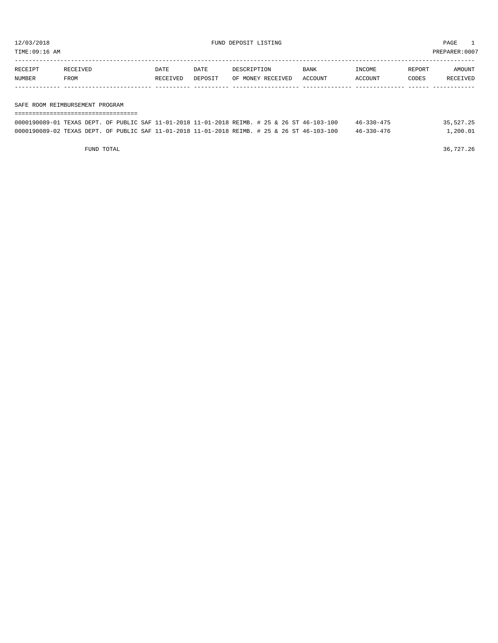TIME:09:16 AM PREPARER:0007

| RECEIPT | <b>RECEIVED</b> | DATE     | DATE    | DESCRIPTION       | <b>BANK</b> | INCOME  | REPORT | AMOUNT          |
|---------|-----------------|----------|---------|-------------------|-------------|---------|--------|-----------------|
| NUMBER  | <b>FROM</b>     | RECEIVED | DEPOSIT | OF MONEY RECEIVED | ACCOUNT     | ACCOUNT | CODES  | <b>RECEIVED</b> |
|         |                 |          |         |                   |             |         |        |                 |

### SAFE ROOM REIMBURSEMENT PROGRAM

| ---------------------------------- |  |  |                                                                                              |                  |           |
|------------------------------------|--|--|----------------------------------------------------------------------------------------------|------------------|-----------|
|                                    |  |  | 0000190089-01 TEXAS DEPT. OF PUBLIC SAF 11-01-2018 11-01-2018 REIMB. # 25 & 26 ST 46-103-100 | $46 - 330 - 475$ | 35,527.25 |
|                                    |  |  | 0000190089-02 TEXAS DEPT. OF PUBLIC SAF 11-01-2018 11-01-2018 REIMB. # 25 & 26 ST 46-103-100 | $46 - 330 - 476$ | 1,200.01  |

FUND TOTAL 36,727.26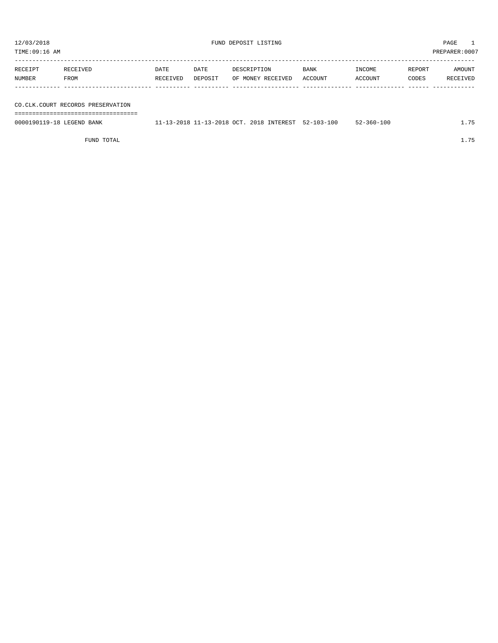| TIME:09:16 AM     |                                     |                  |                 |                                  |                 |                   | PREPARER: 0007  |                    |
|-------------------|-------------------------------------|------------------|-----------------|----------------------------------|-----------------|-------------------|-----------------|--------------------|
| RECEIPT<br>NUMBER | RECEIVED<br>FROM                    | DATE<br>RECEIVED | DATE<br>DEPOSIT | DESCRIPTION<br>OF MONEY RECEIVED | BANK<br>ACCOUNT | INCOME<br>ACCOUNT | REPORT<br>CODES | AMOUNT<br>RECEIVED |
|                   |                                     |                  |                 |                                  |                 |                   |                 |                    |
|                   | CO. CLK. COURT RECORDS PRESERVATION |                  |                 |                                  |                 |                   |                 |                    |

===================================

0000190119-18 LEGEND BANK 11-13-2018 11-13-2018 OCT. 2018 INTEREST 52-103-100 52-360-100 1.75

FUND TOTAL 1.75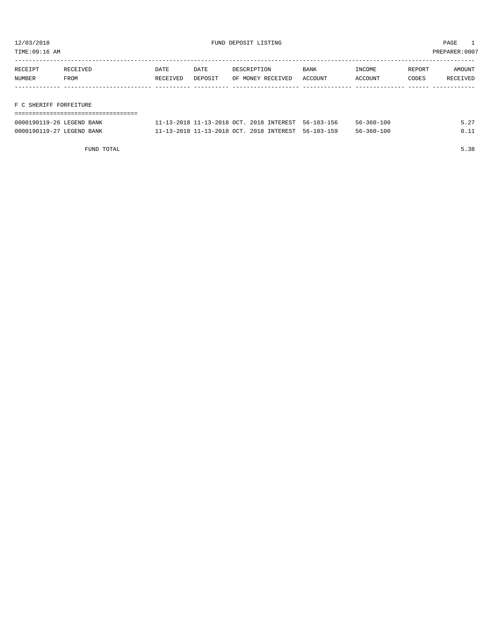TIME:09:16 AM PREPARER:0007

| RECEIPT | RECEIVED | DATE     | DATE    | DESCRIPTION       | <b>BANK</b> | INCOME  | REPORT | AMOUNT   |
|---------|----------|----------|---------|-------------------|-------------|---------|--------|----------|
| NUMBER  | FROM     | RECEIVED | DEPOSIT | OF MONEY RECEIVED | ACCOUNT     | ACCOUNT | CODES  | RECEIVED |
|         |          |          |         |                   |             |         |        |          |
|         |          |          |         |                   |             |         |        |          |

# F C SHERIFF FORFEITURE

| -----------------------   |                                                     |                  |      |
|---------------------------|-----------------------------------------------------|------------------|------|
| 0000190119-26 LEGEND BANK | 11-13-2018 11-13-2018 OCT. 2018 INTEREST 56-103-156 | $56 - 360 - 100$ | 5.27 |
| 0000190119-27 LEGEND BANK | 11-13-2018 11-13-2018 OCT. 2018 INTEREST 56-103-159 | $56 - 360 - 100$ | 0 11 |

FUND TOTAL 5.38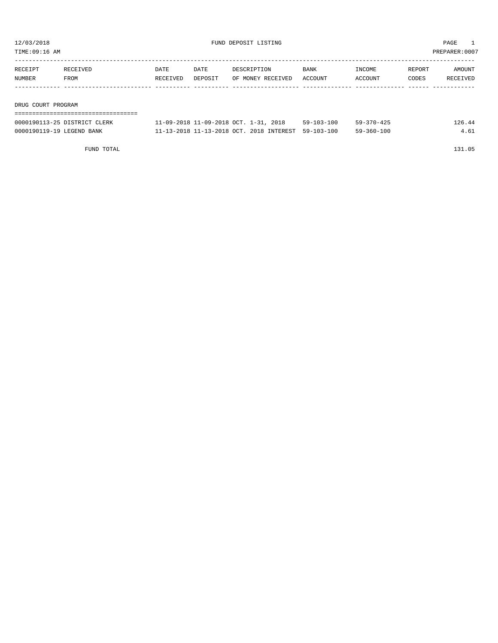| TIME:09:16 AM      |          |          |         |                   |             |           |        | PREPARER:0007 |  |  |
|--------------------|----------|----------|---------|-------------------|-------------|-----------|--------|---------------|--|--|
|                    |          |          |         |                   |             |           |        |               |  |  |
| RECEIPT            | RECEIVED | DATE     | DATE    | DESCRIPTION       | <b>BANK</b> | INCOME    | REPORT | AMOUNT        |  |  |
| NUMBER             | FROM     | RECEIVED | DEPOSIT | OF MONEY RECEIVED | ACCOUNT     | ACCOUNT   | CODES  | RECEIVED      |  |  |
|                    |          |          |         |                   |             |           |        |               |  |  |
|                    |          |          |         |                   |             |           |        |               |  |  |
| DRUG COURT PROGRAM |          |          |         |                   |             |           |        |               |  |  |
|                    |          |          |         |                   |             |           |        |               |  |  |
|                    |          |          |         |                   | $-0.0000$   | $= 0.000$ |        | .             |  |  |

| 0000190113-25 DISTRICT CLERK | $1-09-2018$ 11-09-2018 OCT. 1-31, 2018              | $59 - 103 - 100$ | $59 - 370 - 425$ | 126.44 |
|------------------------------|-----------------------------------------------------|------------------|------------------|--------|
| 0000190119-19 LEGEND BANK    | 11-13-2018 11-13-2018 OCT, 2018 INTEREST 59-103-100 |                  | $59 - 360 - 100$ |        |

FUND TOTAL 131.05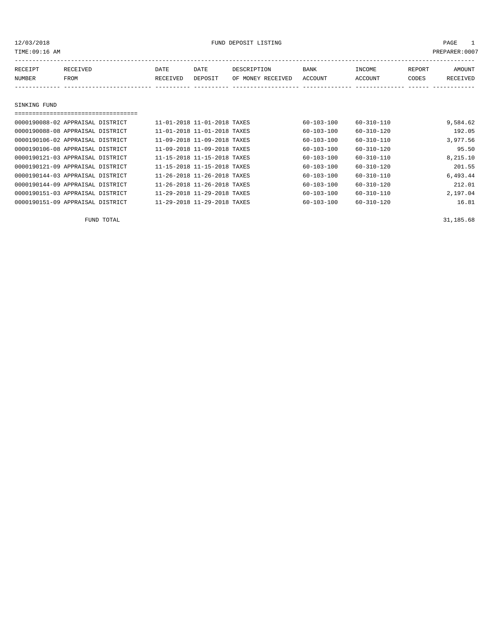| 12/03/2018<br>TIME: 09:16 AM |                                  |             | FUND DEPOSIT LISTING        |                   |                  |                  |        | PAGE<br>$\mathbf{1}$<br>PREPARER:0007 |  |  |  |
|------------------------------|----------------------------------|-------------|-----------------------------|-------------------|------------------|------------------|--------|---------------------------------------|--|--|--|
| RECEIPT                      | <b>RECEIVED</b>                  | <b>DATE</b> | DATE                        | DESCRIPTION       | BANK             | INCOME           | REPORT | AMOUNT                                |  |  |  |
| NUMBER                       | FROM                             | RECEIVED    | DEPOSIT                     | OF MONEY RECEIVED | ACCOUNT          | ACCOUNT          | CODES  | <b>RECEIVED</b>                       |  |  |  |
|                              |                                  |             |                             |                   |                  |                  |        |                                       |  |  |  |
| SINKING FUND                 |                                  |             |                             |                   |                  |                  |        |                                       |  |  |  |
|                              | ================================ |             |                             |                   |                  |                  |        |                                       |  |  |  |
|                              | 0000190088-02 APPRAISAL DISTRICT |             | 11-01-2018 11-01-2018 TAXES |                   | $60 - 103 - 100$ | $60 - 310 - 110$ |        | 9,584.62                              |  |  |  |
|                              | 0000190088-08 APPRAISAL DISTRICT |             | 11-01-2018 11-01-2018 TAXES |                   | 60-103-100       | $60 - 310 - 120$ |        | 192.05                                |  |  |  |
|                              | 0000190106-02 APPRAISAL DISTRICT |             | 11-09-2018 11-09-2018 TAXES |                   | $60 - 103 - 100$ | $60 - 310 - 110$ |        | 3,977.56                              |  |  |  |
|                              | 0000190106-08 APPRAISAL DISTRICT |             | 11-09-2018 11-09-2018 TAXES |                   | 60-103-100       | $60 - 310 - 120$ |        | 95.50                                 |  |  |  |
|                              | 0000190121-03 APPRAISAL DISTRICT |             | 11-15-2018 11-15-2018 TAXES |                   | $60 - 103 - 100$ | $60 - 310 - 110$ |        | 8,215.10                              |  |  |  |
|                              | 0000190121-09 APPRAISAL DISTRICT |             | 11-15-2018 11-15-2018 TAXES |                   | 60-103-100       | $60 - 310 - 120$ |        | 201.55                                |  |  |  |
|                              | 0000190144-03 APPRAISAL DISTRICT |             | 11-26-2018 11-26-2018 TAXES |                   | $60 - 103 - 100$ | $60 - 310 - 110$ |        | 6,493.44                              |  |  |  |
|                              | 0000190144-09 APPRAISAL DISTRICT |             | 11-26-2018 11-26-2018 TAXES |                   | $60 - 103 - 100$ | $60 - 310 - 120$ |        | 212.01                                |  |  |  |
|                              | 0000190151-03 APPRAISAL DISTRICT |             | 11-29-2018 11-29-2018 TAXES |                   | 60-103-100       | 60-310-110       |        | 2,197.04                              |  |  |  |

0000190151-09 APPRAISAL DISTRICT 11-29-2018 11-29-2018 TAXES 60-103-100 60-310-120 16.81

FUND TOTAL 31,185.68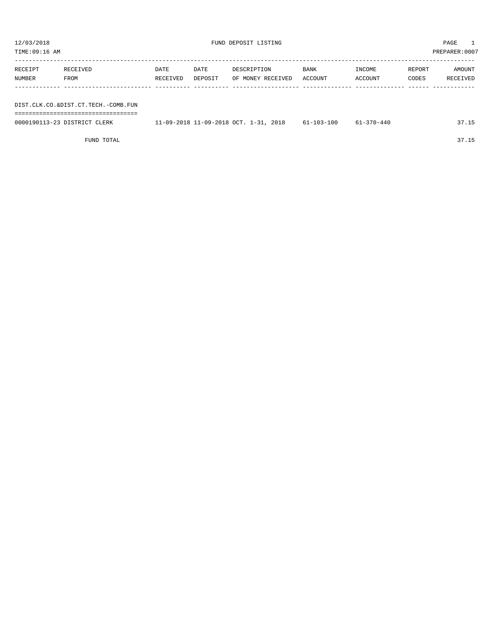| TIME:09:16 AM<br>PREPARER:0007      |          |          |         |                   |         |         |        |          |  |  |  |
|-------------------------------------|----------|----------|---------|-------------------|---------|---------|--------|----------|--|--|--|
|                                     |          |          |         |                   |         |         |        |          |  |  |  |
| RECEIPT                             | RECEIVED | DATE     | DATE    | DESCRIPTION       | BANK    | INCOME  | REPORT | AMOUNT   |  |  |  |
| NUMBER                              | FROM     | RECEIVED | DEPOSIT | OF MONEY RECEIVED | ACCOUNT | ACCOUNT | CODES  | RECEIVED |  |  |  |
|                                     |          |          |         |                   |         |         |        |          |  |  |  |
|                                     |          |          |         |                   |         |         |        |          |  |  |  |
| DIST.CLK.CO.&DIST.CT.TECH.-COMB.FUN |          |          |         |                   |         |         |        |          |  |  |  |
|                                     |          |          |         |                   |         |         |        |          |  |  |  |

| 0000190113-23 DISTRICT CLERK | 11-09-2018 11-09-2018 OCT. 1-31, 2018 | 61-103-100 | 61-370-440 | 37.15 |
|------------------------------|---------------------------------------|------------|------------|-------|
|                              |                                       |            |            |       |

FUND TOTAL 37.15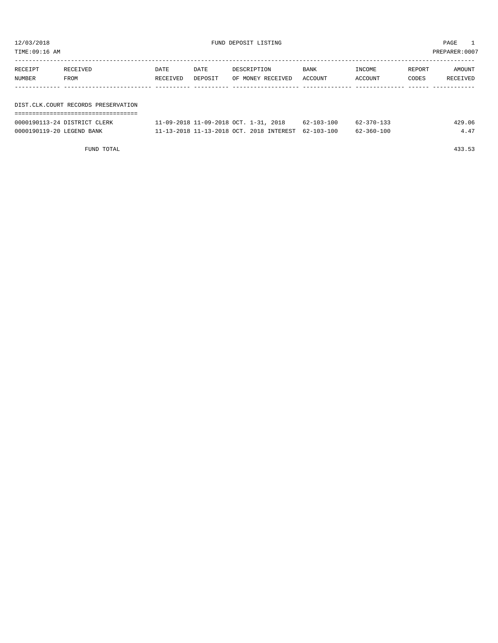| TIME:09:16 AM<br>PREPARER: 0007 |                                     |                  |                 |                                          |                 |                   |                        |                    |  |  |
|---------------------------------|-------------------------------------|------------------|-----------------|------------------------------------------|-----------------|-------------------|------------------------|--------------------|--|--|
| RECEIPT<br>NUMBER               | RECEIVED<br>FROM                    | DATE<br>RECEIVED | DATE<br>DEPOSIT | DESCRIPTION<br>OF MONEY RECEIVED         | BANK<br>ACCOUNT | INCOME<br>ACCOUNT | REPORT<br><b>CODES</b> | AMOUNT<br>RECEIVED |  |  |
|                                 | DIST.CLK.COURT RECORDS PRESERVATION |                  |                 |                                          |                 |                   |                        |                    |  |  |
|                                 |                                     |                  |                 |                                          |                 |                   |                        |                    |  |  |
|                                 | 0000190113-24 DISTRICT CLERK        |                  |                 | 11-09-2018 11-09-2018 OCT. 1-31, 2018    | 62-103-100      | 62-370-133        |                        | 429.06             |  |  |
| 0000190119-20 LEGEND BANK       |                                     |                  |                 | 11-13-2018 11-13-2018 OCT. 2018 INTEREST | 62-103-100      | $62 - 360 - 100$  |                        | 4.47               |  |  |

FUND TOTAL 433.53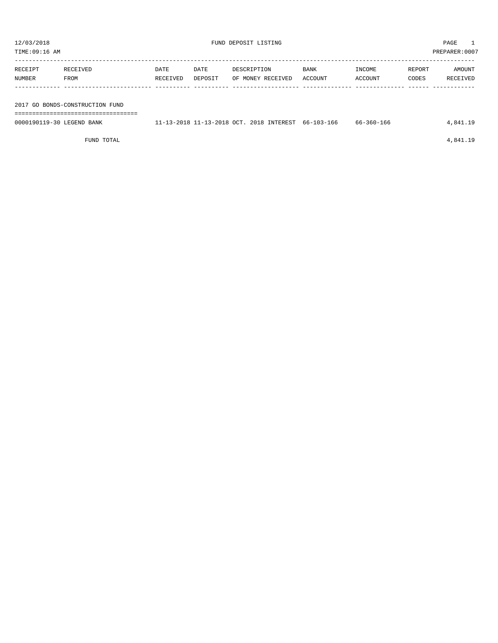| TIME:09:16 AM             |                                       |          |         |                                                     |         |            |        | PREPARER:0007 |
|---------------------------|---------------------------------------|----------|---------|-----------------------------------------------------|---------|------------|--------|---------------|
|                           |                                       |          |         |                                                     |         |            |        |               |
| RECEIPT                   | RECEIVED                              | DATE     | DATE    | DESCRIPTION                                         | BANK    | INCOME     | REPORT | AMOUNT        |
| NUMBER                    | FROM                                  | RECEIVED | DEPOSIT | OF MONEY RECEIVED                                   | ACCOUNT | ACCOUNT    | CODES  | RECEIVED      |
|                           |                                       |          |         |                                                     |         |            |        |               |
|                           |                                       |          |         |                                                     |         |            |        |               |
|                           | 2017 GO BONDS-CONSTRUCTION FUND       |          |         |                                                     |         |            |        |               |
| 0000190119-30 LEGEND BANK | ===================================== |          |         | 11-13-2018 11-13-2018 OCT. 2018 INTEREST 66-103-166 |         | 66-360-166 |        | 4,841.19      |
|                           |                                       |          |         |                                                     |         |            |        |               |

FUND TOTAL  $4,841.19$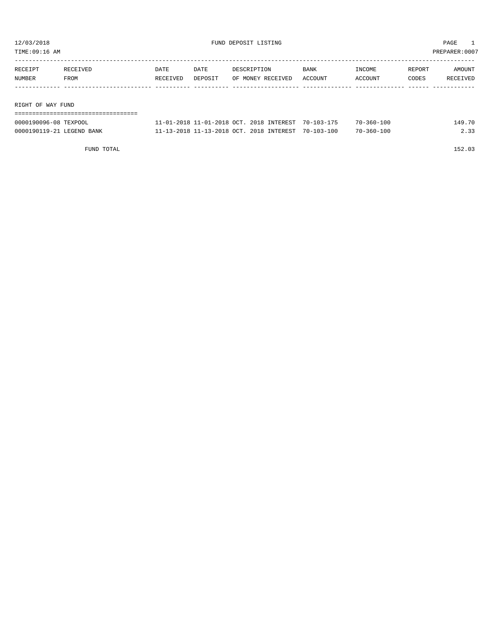| TIME:09:16 AM     |                                 |          |         |                   |         |            |        | PREPARER:0007 |
|-------------------|---------------------------------|----------|---------|-------------------|---------|------------|--------|---------------|
|                   |                                 |          |         |                   |         |            |        |               |
| RECEIPT           | RECEIVED                        | DATE     | DATE    | DESCRIPTION       | BANK    | INCOME     | REPORT | AMOUNT        |
| NUMBER            | FROM                            | RECEIVED | DEPOSIT | OF MONEY RECEIVED | ACCOUNT | ACCOUNT    | CODES  | RECEIVED      |
|                   |                                 |          |         |                   |         |            |        |               |
|                   |                                 |          |         |                   |         |            |        |               |
| RIGHT OF WAY FUND |                                 |          |         |                   |         |            |        |               |
|                   | =============================== |          |         |                   |         |            |        |               |
|                   |                                 |          |         |                   |         | ___ ___ __ |        | .             |

| 0000190096-08 TEXPOOL     | '1-01-2018 11-01-2018 OCT. 2018 INTEREST 70-103-175 |  | $-360 - 100$     | .49.70 |
|---------------------------|-----------------------------------------------------|--|------------------|--------|
| 0000190119-21 LEGEND BANK | 11-13-2018 11-13-2018 OCT. 2018 INTEREST 70-103-100 |  | $70 - 360 - 100$ |        |

FUND TOTAL 152.03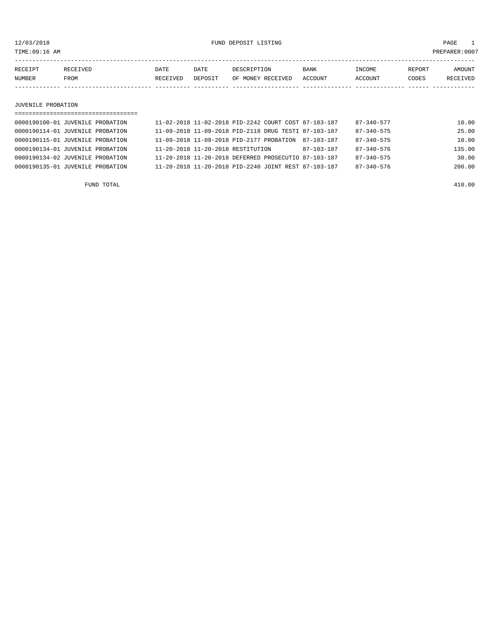12/03/2018 FUND DEPOSIT LISTING PAGE 1

| RECEIPT | RECEIVED | DATE     | DATE    | DESCRIPTION       | <b>BANK</b> | INCOME  | <b>REPORT</b> | AMOUNT          |
|---------|----------|----------|---------|-------------------|-------------|---------|---------------|-----------------|
| NUMBER  | FROM     | RECEIVED | DEPOSIT | OF MONEY RECEIVED | ACCOUNT     | ACCOUNT | CODES         | <b>RECEIVED</b> |
|         |          |          |         |                   |             |         |               |                 |

### JUVENILE PROBATION

| ================================== |  |                                          |  |  |                                                      |            |                  |        |  |  |
|------------------------------------|--|------------------------------------------|--|--|------------------------------------------------------|------------|------------------|--------|--|--|
| 0000190100-01 JUVENILE PROBATION   |  |                                          |  |  | 11-02-2018 11-02-2018 PID-2242 COURT COST 87-103-187 |            | 87-340-577       | 10.00  |  |  |
| 0000190114-01 JUVENILE PROBATION   |  |                                          |  |  | 11-09-2018 11-09-2018 PID-2118 DRUG TESTI 87-103-187 |            | $87 - 340 - 575$ | 25.00  |  |  |
| 0000190115-01 JUVENILE PROBATION   |  | 11-09-2018 11-09-2018 PID-2177 PROBATION |  |  |                                                      | 87-103-187 | $87 - 340 - 575$ | 10.00  |  |  |
| 0000190134-01 JUVENILE PROBATION   |  | 11-20-2018 11-20-2018 RESTITUTION        |  |  |                                                      | 87-103-187 | $87 - 340 - 576$ | 135.00 |  |  |
| 0000190134-02 JUVENILE PROBATION   |  |                                          |  |  | 11-20-2018 11-20-2018 DEFERRED PROSECUTIO 87-103-187 |            | $87 - 340 - 575$ | 30.00  |  |  |
| 0000190135-01 JUVENILE PROBATION   |  |                                          |  |  | 11-20-2018 11-20-2018 PID-2240 JOINT REST 87-103-187 |            | $87 - 340 - 576$ | 200.00 |  |  |
|                                    |  |                                          |  |  |                                                      |            |                  |        |  |  |

FUND TOTAL 410.00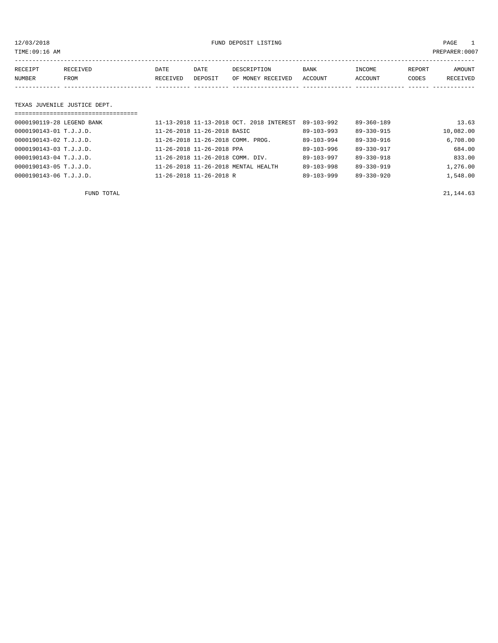# 12/03/2018 FUND DEPOSIT LISTING PAGE 1

| RECEIPT | <b>RECEIVED</b> | DATE     | DATE    | DESCRIPTION       | BANK    | INCOME  | REPORT | AMOUNT          |
|---------|-----------------|----------|---------|-------------------|---------|---------|--------|-----------------|
| NUMBER  | FROM            | RECEIVED | DEPOSIT | OF MONEY RECEIVED | ACCOUNT | ACCOUNT | CODES  | <b>RECEIVED</b> |
|         |                 |          |         |                   |         |         |        |                 |

### TEXAS JUVENILE JUSTICE DEPT.

| =================================== |                                          |                  |                  |           |
|-------------------------------------|------------------------------------------|------------------|------------------|-----------|
| 0000190119-28 LEGEND BANK           | 11-13-2018 11-13-2018 OCT, 2018 INTEREST | $89 - 103 - 992$ | $89 - 360 - 189$ | 13.63     |
| 0000190143-01 T.J.J.D.              | 11-26-2018 11-26-2018 BASIC              | $89 - 103 - 993$ | 89-330-915       | 10,082.00 |
| 0000190143-02 T.J.J.D.              | 11-26-2018 11-26-2018 COMM. PROG.        | $89 - 103 - 994$ | 89-330-916       | 6,708.00  |
| 0000190143-03 T.J.J.D.              | 11-26-2018 11-26-2018 PPA                | 89-103-996       | 89-330-917       | 684.00    |
| 0000190143-04 T.J.J.D.              | 11-26-2018 11-26-2018 COMM. DIV.         | $89 - 103 - 997$ | $89 - 330 - 918$ | 833.00    |
| 0000190143-05 T.J.J.D.              | 11-26-2018 11-26-2018 MENTAL HEALTH      | 89-103-998       | $89 - 330 - 919$ | 1,276.00  |
| 0000190143-06 T.J.J.D.              | 11-26-2018 11-26-2018 R                  | $89 - 103 - 999$ | $89 - 330 - 920$ | 1,548.00  |

FUND TOTAL  $21,144.63$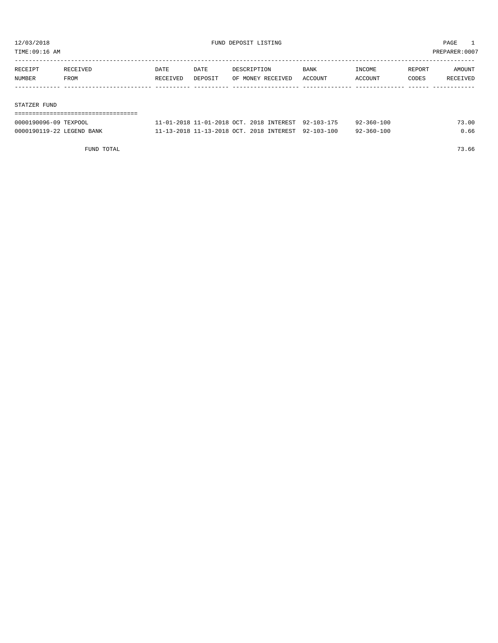TIME:09:16 AM PREPARER:0007

| RECEIPT | RECEIVED | DATE     | <b>DATE</b> | DESCRIPTION       | <b>BANK</b> | INCOME  | REPORT | AMOUNT   |
|---------|----------|----------|-------------|-------------------|-------------|---------|--------|----------|
| NUMBER  | FROM     | RECEIVED | DEPOSIT     | OF MONEY RECEIVED | ACCOUNT     | ACCOUNT | CODES  | RECEIVED |
|         |          |          |             |                   |             |         |        |          |
|         |          |          |             |                   |             |         |        |          |

### STATZER FUND

| 0000190096-09 TEXPOOL     | 11-01-2018 11-01-2018 OCT, 2018 INTEREST 92-103-175 |  | $92 - 360 - 100$ | 73.00 |
|---------------------------|-----------------------------------------------------|--|------------------|-------|
| 0000190119-22 LEGEND BANK | 11-13-2018 11-13-2018 OCT. 2018 INTEREST 92-103-100 |  | $92 - 360 - 100$ | 0.66  |

FUND TOTAL 73.66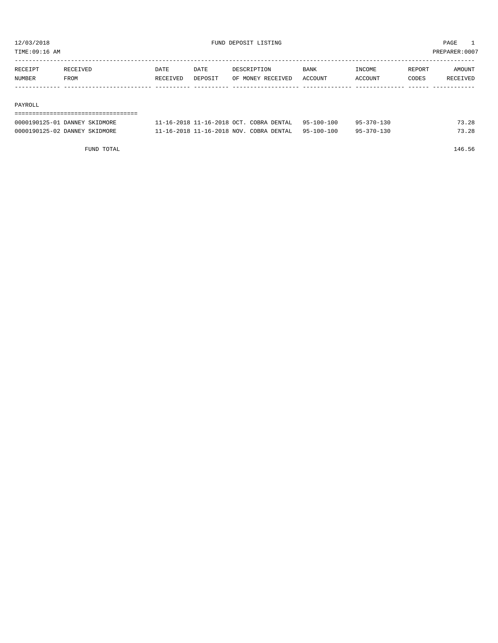TIME:09:16 AM PREPARER:0007

| RECEIPT | RECEIVED | DATE     | DATE    | DESCRIPTION       | <b>BANK</b> | INCOME  | REPORT | AMOUNT   |
|---------|----------|----------|---------|-------------------|-------------|---------|--------|----------|
| NUMBER  | FROM     | RECEIVED | DEPOSIT | OF MONEY RECEIVED | ACCOUNT     | ACCOUNT | CODES  | RECEIVED |
|         |          |          |         |                   |             |         |        |          |

### PAYROLL

# =================================== 0000190125-01 DANNEY SKIDMORE 11-16-2018 11-16-2018 OCT. COBRA DENTAL 95-100-100 95-370-130 73.28 0000190125-02 DANNEY SKIDMORE 11-16-2018 11-16-2018 NOV. COBRA DENTAL 95-100-100 95-370-130 73.28

FUND TOTAL 146.56